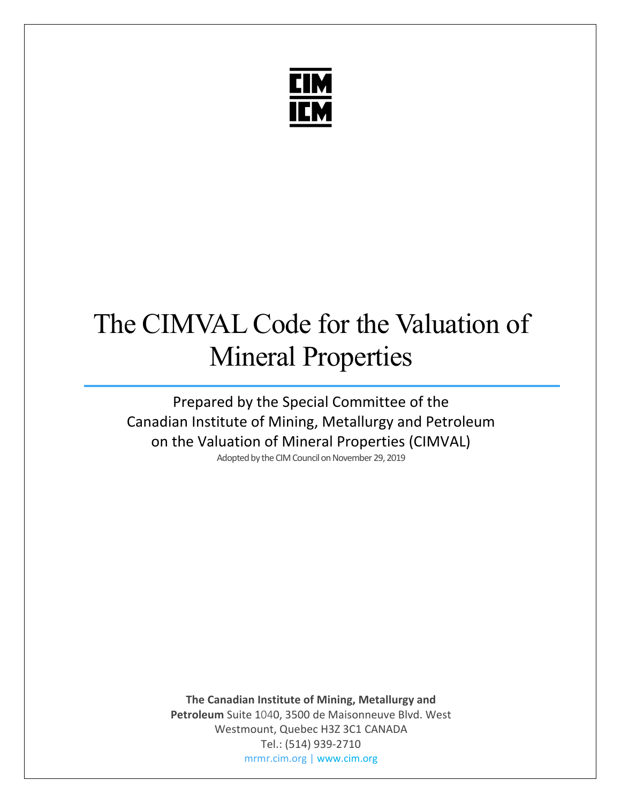

# The CIMVAL Code for the Valuation of Mineral Properties

Prepared by the Special Committee of the Canadian Institute of Mining, Metallurgy and Petroleum on the Valuation of Mineral Properties (CIMVAL)<br>Adopted by the CIM Council on November 29, 2019

> **The Canadian Institute of Mining, Metallurgy and Petroleum** Suite 1040, 3500 de Maisonneuve Blvd. West Westmount, Quebec H3Z 3C1 CANADA Tel.: (514) 939-2710 mrmr.cim.org | www.cim.org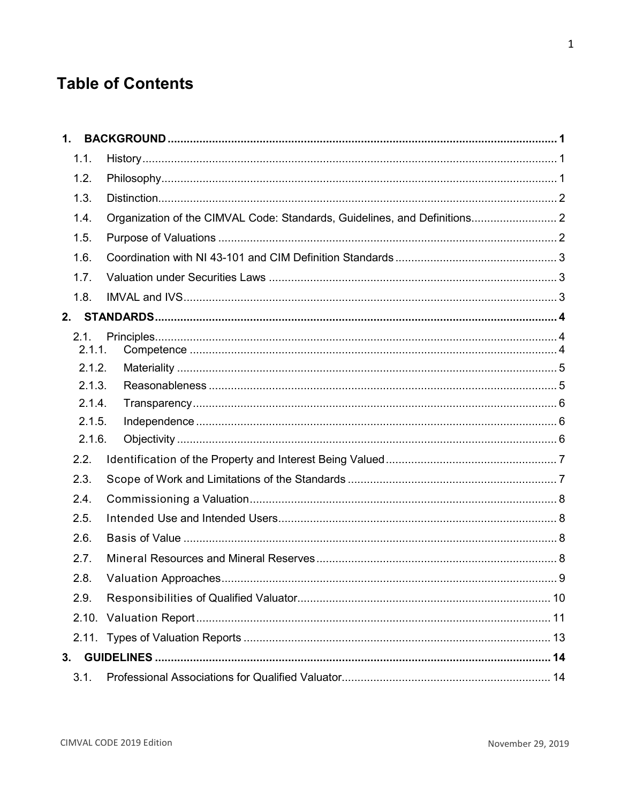# **Table of Contents**

| 1.   |        |                                                                           |  |
|------|--------|---------------------------------------------------------------------------|--|
| 1.1. |        |                                                                           |  |
| 1.2. |        |                                                                           |  |
| 1.3. |        |                                                                           |  |
| 1.4. |        | Organization of the CIMVAL Code: Standards, Guidelines, and Definitions 2 |  |
| 1.5. |        |                                                                           |  |
| 1.6. |        |                                                                           |  |
| 1.7. |        |                                                                           |  |
| 1.8. |        |                                                                           |  |
| 2.   |        |                                                                           |  |
| 2.1. | 2.1.1. |                                                                           |  |
|      | 2.1.2. |                                                                           |  |
|      | 2.1.3. |                                                                           |  |
|      | 2.1.4. |                                                                           |  |
|      | 2.1.5. |                                                                           |  |
|      | 2.1.6. |                                                                           |  |
| 2.2. |        |                                                                           |  |
| 2.3. |        |                                                                           |  |
| 2.4. |        |                                                                           |  |
| 2.5. |        |                                                                           |  |
| 2.6. |        |                                                                           |  |
| 2.7. |        |                                                                           |  |
| 2.8. |        |                                                                           |  |
| 2.9. |        |                                                                           |  |
|      |        |                                                                           |  |
|      |        |                                                                           |  |
| 3.   |        |                                                                           |  |
| 3.1. |        |                                                                           |  |

 $\mathbf 1$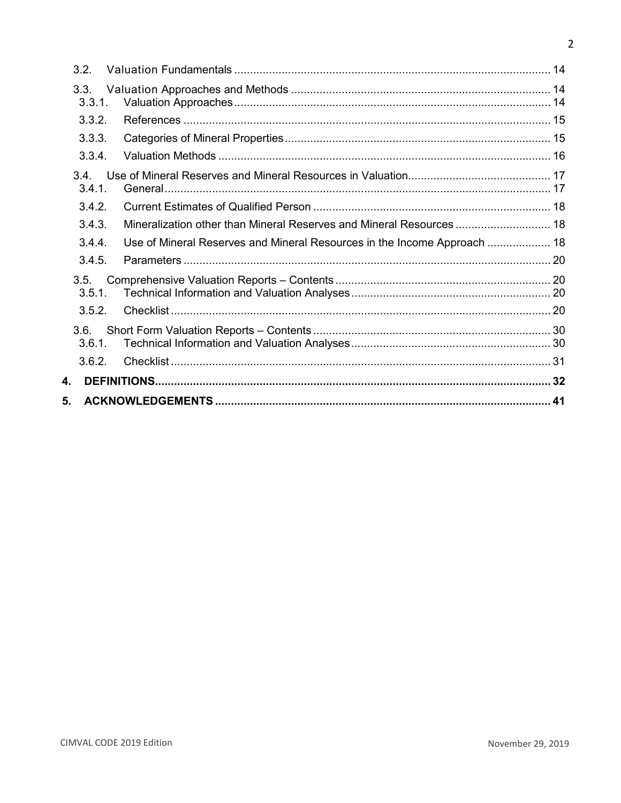| 3.2.           |                                                                          |  |
|----------------|--------------------------------------------------------------------------|--|
| 3.3.<br>3.3.1. |                                                                          |  |
| 3.3.2.         |                                                                          |  |
| 3.3.3.         |                                                                          |  |
| 3.3.4.         |                                                                          |  |
| 34<br>3.4.1.   |                                                                          |  |
| 3.4.2.         |                                                                          |  |
| 3.4.3.         | Mineralization other than Mineral Reserves and Mineral Resources 18      |  |
| 3.4.4.         | Use of Mineral Reserves and Mineral Resources in the Income Approach  18 |  |
| 3.4.5.         |                                                                          |  |
| 3.5.<br>3.5.1. |                                                                          |  |
| 3.5.2.         |                                                                          |  |
| 3.6.<br>3.6.1. |                                                                          |  |
| 362            |                                                                          |  |
| 4.             |                                                                          |  |
| 5.             |                                                                          |  |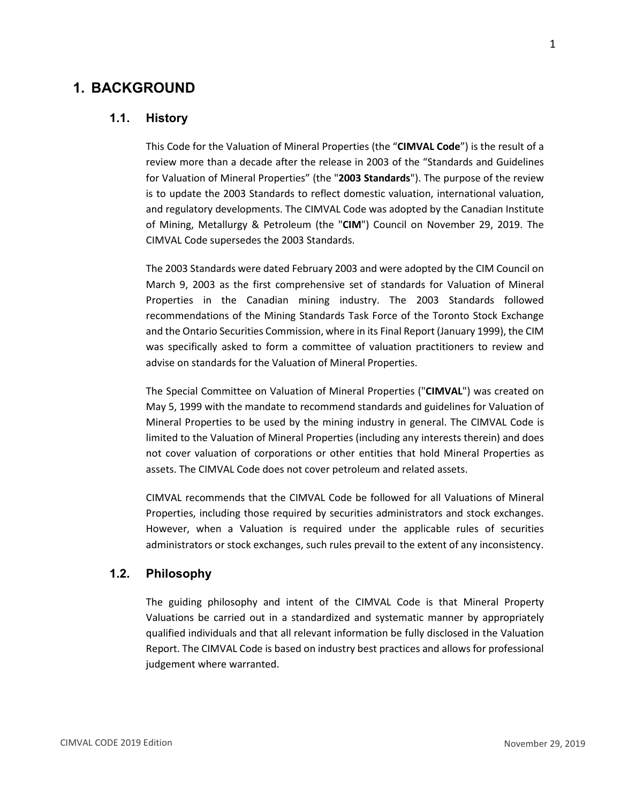# <span id="page-3-1"></span><span id="page-3-0"></span>**1. BACKGROUND**

#### **1.1. History**

This Code for the Valuation of Mineral Properties (the "**CIMVAL Code**") is the result of a review more than a decade after the release in 2003 of the "Standards and Guidelines for Valuation of Mineral Properties" (the "**2003 Standards**"). The purpose of the review is to update the 2003 Standards to reflect domestic valuation, international valuation, and regulatory developments. The CIMVAL Code was adopted by the Canadian Institute of Mining, Metallurgy & Petroleum (the "**CIM**") Council on November 29, 2019. The CIMVAL Code supersedes the 2003 Standards.

The 2003 Standards were dated February 2003 and were adopted by the CIM Council on March 9, 2003 as the first comprehensive set of standards for Valuation of Mineral Properties in the Canadian mining industry. The 2003 Standards followed recommendations of the Mining Standards Task Force of the Toronto Stock Exchange and the Ontario Securities Commission, where in its Final Report (January 1999), the CIM was specifically asked to form a committee of valuation practitioners to review and advise on standards for the Valuation of Mineral Properties.

The Special Committee on Valuation of Mineral Properties ("**CIMVAL**") was created on May 5, 1999 with the mandate to recommend standards and guidelines for Valuation of Mineral Properties to be used by the mining industry in general. The CIMVAL Code is limited to the Valuation of Mineral Properties (including any interests therein) and does not cover valuation of corporations or other entities that hold Mineral Properties as assets. The CIMVAL Code does not cover petroleum and related assets.

CIMVAL recommends that the CIMVAL Code be followed for all Valuations of Mineral Properties, including those required by securities administrators and stock exchanges. However, when a Valuation is required under the applicable rules of securities administrators or stock exchanges, such rules prevail to the extent of any inconsistency.

#### <span id="page-3-2"></span>**1.2. Philosophy**

The guiding philosophy and intent of the CIMVAL Code is that Mineral Property Valuations be carried out in a standardized and systematic manner by appropriately qualified individuals and that all relevant information be fully disclosed in the Valuation Report. The CIMVAL Code is based on industry best practices and allows for professional judgement where warranted.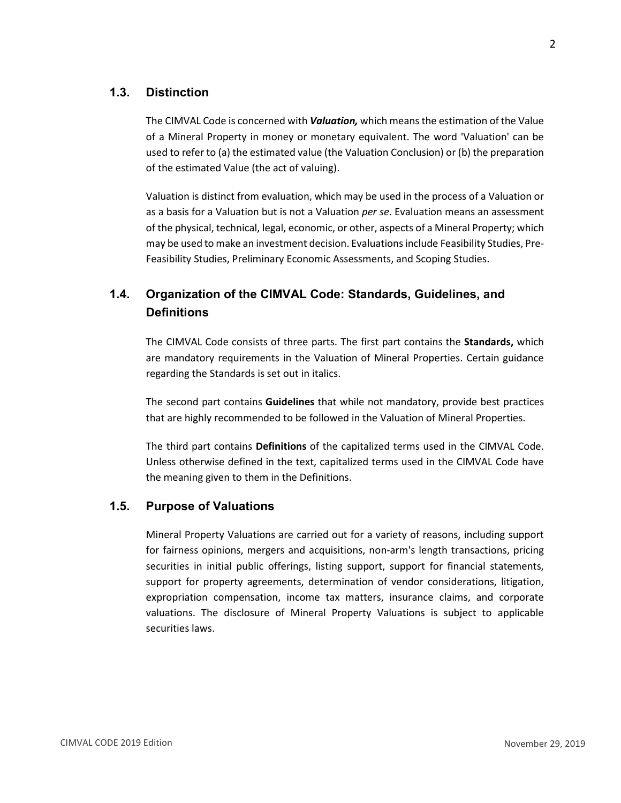#### <span id="page-4-0"></span>**1.3. Distinction**

The CIMVAL Code is concerned with *Valuation,* which means the estimation of the Value of a Mineral Property in money or monetary equivalent. The word 'Valuation' can be used to refer to (a) the estimated value (the Valuation Conclusion) or (b) the preparation of the estimated Value (the act of valuing).

Valuation is distinct from evaluation, which may be used in the process of a Valuation or as a basis for a Valuation but is not a Valuation *per se*. Evaluation means an assessment of the physical, technical, legal, economic, or other, aspects of a Mineral Property; which may be used to make an investment decision. Evaluations include Feasibility Studies, Pre-Feasibility Studies, Preliminary Economic Assessments, and Scoping Studies.

# <span id="page-4-1"></span>**1.4. Organization of the CIMVAL Code: Standards, Guidelines, and Definitions**

The CIMVAL Code consists of three parts. The first part contains the **Standards,** which are mandatory requirements in the Valuation of Mineral Properties. Certain guidance regarding the Standards is set out in italics.

The second part contains **Guidelines** that while not mandatory, provide best practices that are highly recommended to be followed in the Valuation of Mineral Properties.

The third part contains **Definitions** of the capitalized terms used in the CIMVAL Code. Unless otherwise defined in the text, capitalized terms used in the CIMVAL Code have the meaning given to them in the Definitions.

#### <span id="page-4-2"></span>**1.5. Purpose of Valuations**

Mineral Property Valuations are carried out for a variety of reasons, including support for fairness opinions, mergers and acquisitions, non-arm's length transactions, pricing securities in initial public offerings, listing support, support for financial statements, support for property agreements, determination of vendor considerations, litigation, expropriation compensation, income tax matters, insurance claims, and corporate valuations. The disclosure of Mineral Property Valuations is subject to applicable securities laws.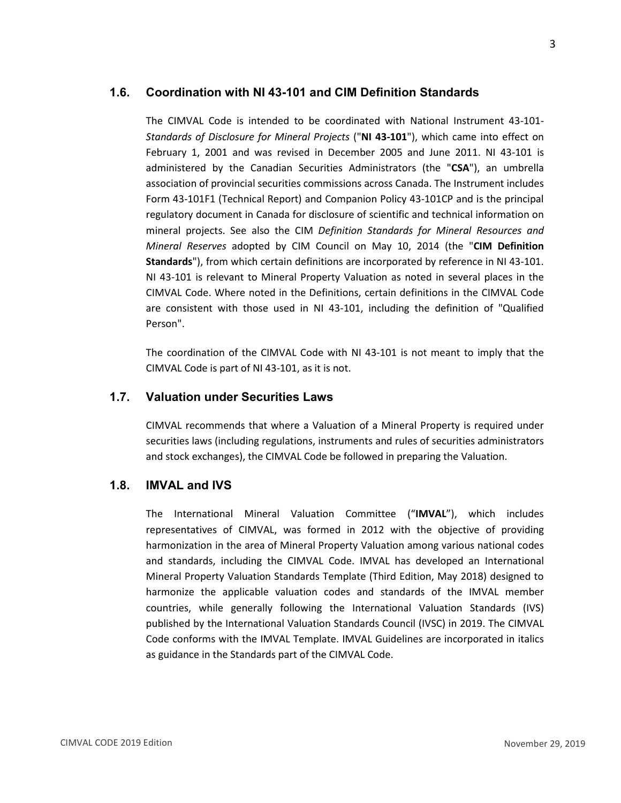#### <span id="page-5-0"></span>**1.6. Coordination with NI 43-101 and CIM Definition Standards**

The CIMVAL Code is intended to be coordinated with National Instrument 43-101- *Standards of Disclosure for Mineral Projects* ("**NI 43-101**"), which came into effect on February 1, 2001 and was revised in December 2005 and June 2011. NI 43-101 is administered by the Canadian Securities Administrators (the "**CSA**"), an umbrella association of provincial securities commissions across Canada. The Instrument includes Form 43-101F1 (Technical Report) and Companion Policy 43-101CP and is the principal regulatory document in Canada for disclosure of scientific and technical information on mineral projects. See also the CIM *Definition Standards for Mineral Resources and Mineral Reserves* adopted by CIM Council on May 10, 2014 (the "**CIM Definition Standards**"), from which certain definitions are incorporated by reference in NI 43-101. NI 43-101 is relevant to Mineral Property Valuation as noted in several places in the CIMVAL Code. Where noted in the Definitions, certain definitions in the CIMVAL Code are consistent with those used in NI 43-101, including the definition of "Qualified Person".

The coordination of the CIMVAL Code with NI 43-101 is not meant to imply that the CIMVAL Code is part of NI 43-101, as it is not.

#### <span id="page-5-1"></span>**1.7. Valuation under Securities Laws**

CIMVAL recommends that where a Valuation of a Mineral Property is required under securities laws (including regulations, instruments and rules of securities administrators and stock exchanges), the CIMVAL Code be followed in preparing the Valuation.

#### <span id="page-5-2"></span>**1.8. IMVAL and IVS**

The International Mineral Valuation Committee ("**IMVAL**"), which includes representatives of CIMVAL, was formed in 2012 with the objective of providing harmonization in the area of Mineral Property Valuation among various national codes and standards, including the CIMVAL Code. IMVAL has developed an International Mineral Property Valuation Standards Template (Third Edition, May 2018) designed to harmonize the applicable valuation codes and standards of the IMVAL member countries, while generally following the International Valuation Standards (IVS) published by the International Valuation Standards Council (IVSC) in 2019. The CIMVAL Code conforms with the IMVAL Template. IMVAL Guidelines are incorporated in italics as guidance in the Standards part of the CIMVAL Code.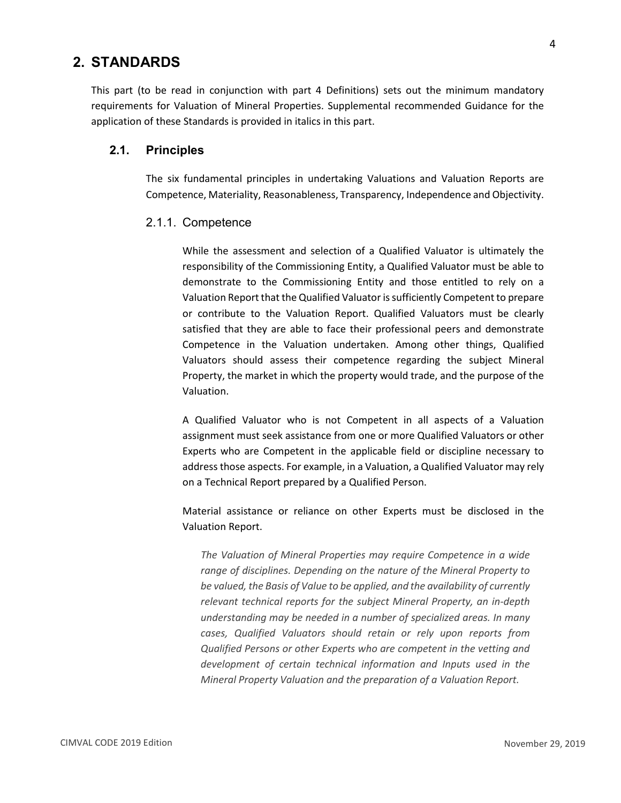# <span id="page-6-0"></span>**2. STANDARDS**

This part (to be read in conjunction with part 4 Definitions) sets out the minimum mandatory requirements for Valuation of Mineral Properties. Supplemental recommended Guidance for the application of these Standards is provided in italics in this part.

#### <span id="page-6-2"></span><span id="page-6-1"></span>**2.1. Principles**

The six fundamental principles in undertaking Valuations and Valuation Reports are Competence, Materiality, Reasonableness, Transparency, Independence and Objectivity.

#### 2.1.1. Competence

While the assessment and selection of a Qualified Valuator is ultimately the responsibility of the Commissioning Entity, a Qualified Valuator must be able to demonstrate to the Commissioning Entity and those entitled to rely on a Valuation Report that the Qualified Valuator is sufficiently Competent to prepare or contribute to the Valuation Report. Qualified Valuators must be clearly satisfied that they are able to face their professional peers and demonstrate Competence in the Valuation undertaken. Among other things, Qualified Valuators should assess their competence regarding the subject Mineral Property, the market in which the property would trade, and the purpose of the Valuation.

A Qualified Valuator who is not Competent in all aspects of a Valuation assignment must seek assistance from one or more Qualified Valuators or other Experts who are Competent in the applicable field or discipline necessary to address those aspects. For example, in a Valuation, a Qualified Valuator may rely on a Technical Report prepared by a Qualified Person.

Material assistance or reliance on other Experts must be disclosed in the Valuation Report.

*The Valuation of Mineral Properties may require Competence in a wide range of disciplines. Depending on the nature of the Mineral Property to be valued, the Basis of Value to be applied, and the availability of currently relevant technical reports for the subject Mineral Property, an in-depth understanding may be needed in a number of specialized areas. In many cases, Qualified Valuators should retain or rely upon reports from Qualified Persons or other Experts who are competent in the vetting and development of certain technical information and Inputs used in the Mineral Property Valuation and the preparation of a Valuation Report.*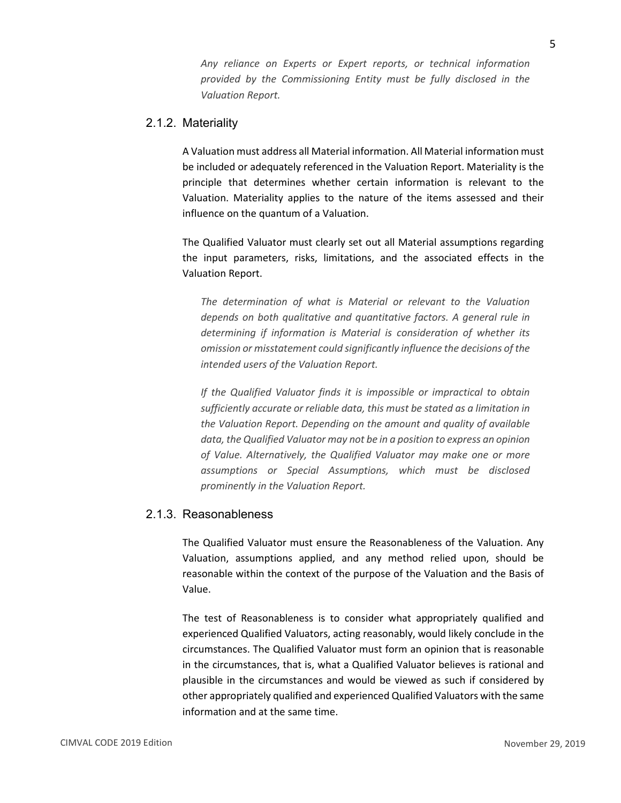*Any reliance on Experts or Expert reports, or technical information provided by the Commissioning Entity must be fully disclosed in the Valuation Report.*

#### <span id="page-7-0"></span>2.1.2. Materiality

A Valuation must address all Material information. All Material information must be included or adequately referenced in the Valuation Report. Materiality is the principle that determines whether certain information is relevant to the Valuation. Materiality applies to the nature of the items assessed and their influence on the quantum of a Valuation.

The Qualified Valuator must clearly set out all Material assumptions regarding the input parameters, risks, limitations, and the associated effects in the Valuation Report.

*The determination of what is Material or relevant to the Valuation depends on both qualitative and quantitative factors. A general rule in determining if information is Material is consideration of whether its omission or misstatement could significantly influence the decisions of the intended users of the Valuation Report.*

*If the Qualified Valuator finds it is impossible or impractical to obtain sufficiently accurate or reliable data, this must be stated as a limitation in the Valuation Report. Depending on the amount and quality of available data, the Qualified Valuator may not be in a position to express an opinion of Value. Alternatively, the Qualified Valuator may make one or more assumptions or Special Assumptions, which must be disclosed prominently in the Valuation Report.*

#### <span id="page-7-1"></span>2.1.3. Reasonableness

The Qualified Valuator must ensure the Reasonableness of the Valuation. Any Valuation, assumptions applied, and any method relied upon, should be reasonable within the context of the purpose of the Valuation and the Basis of Value.

The test of Reasonableness is to consider what appropriately qualified and experienced Qualified Valuators, acting reasonably, would likely conclude in the circumstances. The Qualified Valuator must form an opinion that is reasonable in the circumstances, that is, what a Qualified Valuator believes is rational and plausible in the circumstances and would be viewed as such if considered by other appropriately qualified and experienced Qualified Valuators with the same information and at the same time.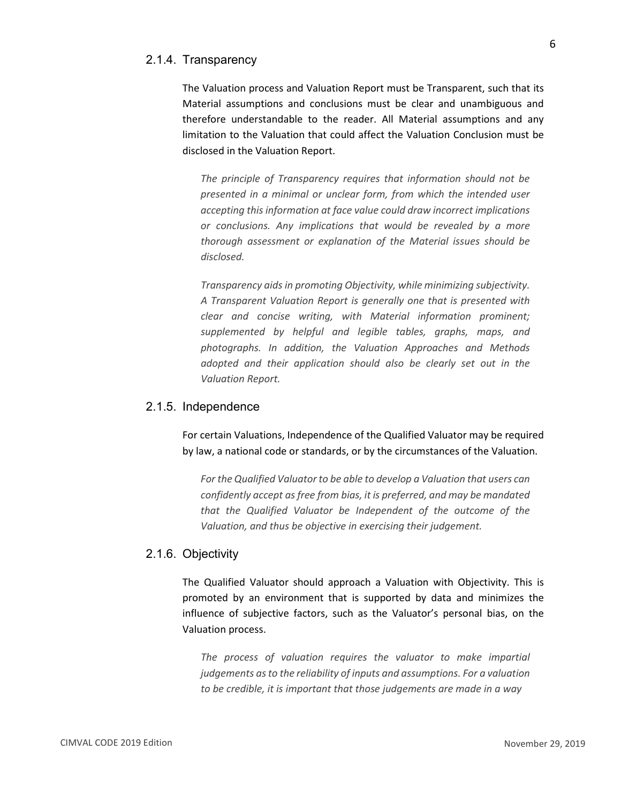#### <span id="page-8-0"></span>2.1.4. Transparency

The Valuation process and Valuation Report must be Transparent, such that its Material assumptions and conclusions must be clear and unambiguous and therefore understandable to the reader. All Material assumptions and any limitation to the Valuation that could affect the Valuation Conclusion must be disclosed in the Valuation Report.

*The principle of Transparency requires that information should not be presented in a minimal or unclear form, from which the intended user accepting this information at face value could draw incorrect implications or conclusions. Any implications that would be revealed by a more thorough assessment or explanation of the Material issues should be disclosed.*

*Transparency aids in promoting Objectivity, while minimizing subjectivity. A Transparent Valuation Report is generally one that is presented with clear and concise writing, with Material information prominent; supplemented by helpful and legible tables, graphs, maps, and photographs. In addition, the Valuation Approaches and Methods adopted and their application should also be clearly set out in the Valuation Report.*

#### <span id="page-8-1"></span>2.1.5. Independence

For certain Valuations, Independence of the Qualified Valuator may be required by law, a national code or standards, or by the circumstances of the Valuation.

*For the Qualified Valuator to be able to develop a Valuation that users can confidently accept as free from bias, it is preferred, and may be mandated that the Qualified Valuator be Independent of the outcome of the Valuation, and thus be objective in exercising their judgement.*

#### <span id="page-8-2"></span>2.1.6. Objectivity

The Qualified Valuator should approach a Valuation with Objectivity. This is promoted by an environment that is supported by data and minimizes the influence of subjective factors, such as the Valuator's personal bias, on the Valuation process.

*The process of valuation requires the valuator to make impartial judgements as to the reliability of inputs and assumptions. For a valuation to be credible, it is important that those judgements are made in a way*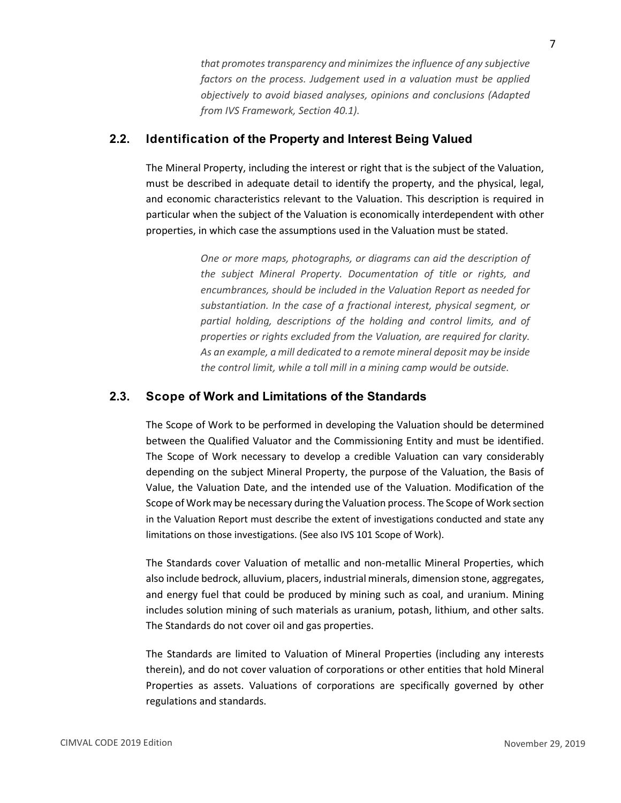*that promotes transparency and minimizes the influence of any subjective factors on the process. Judgement used in a valuation must be applied objectively to avoid biased analyses, opinions and conclusions (Adapted from IVS Framework, Section 40.1).*

#### <span id="page-9-0"></span>**2.2. Identification of the Property and Interest Being Valued**

The Mineral Property, including the interest or right that is the subject of the Valuation, must be described in adequate detail to identify the property, and the physical, legal, and economic characteristics relevant to the Valuation. This description is required in particular when the subject of the Valuation is economically interdependent with other properties, in which case the assumptions used in the Valuation must be stated.

> *One or more maps, photographs, or diagrams can aid the description of the subject Mineral Property. Documentation of title or rights, and encumbrances, should be included in the Valuation Report as needed for substantiation. In the case of a fractional interest, physical segment, or partial holding, descriptions of the holding and control limits, and of properties or rights excluded from the Valuation, are required for clarity. As an example, a mill dedicated to a remote mineral deposit may be inside the control limit, while a toll mill in a mining camp would be outside.*

# <span id="page-9-1"></span>**2.3. Scope of Work and Limitations of the Standards**

The Scope of Work to be performed in developing the Valuation should be determined between the Qualified Valuator and the Commissioning Entity and must be identified. The Scope of Work necessary to develop a credible Valuation can vary considerably depending on the subject Mineral Property, the purpose of the Valuation, the Basis of Value, the Valuation Date, and the intended use of the Valuation. Modification of the Scope of Work may be necessary during the Valuation process. The Scope of Work section in the Valuation Report must describe the extent of investigations conducted and state any limitations on those investigations. (See also IVS 101 Scope of Work).

The Standards cover Valuation of metallic and non-metallic Mineral Properties, which also include bedrock, alluvium, placers, industrial minerals, dimension stone, aggregates, and energy fuel that could be produced by mining such as coal, and uranium. Mining includes solution mining of such materials as uranium, potash, lithium, and other salts. The Standards do not cover oil and gas properties.

The Standards are limited to Valuation of Mineral Properties (including any interests therein), and do not cover valuation of corporations or other entities that hold Mineral Properties as assets. Valuations of corporations are specifically governed by other regulations and standards.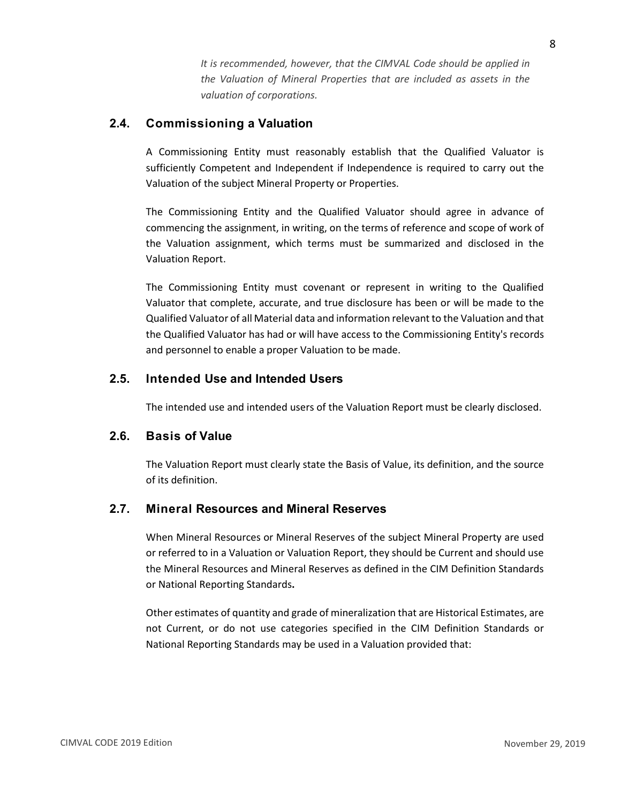*It is recommended, however, that the CIMVAL Code should be applied in the Valuation of Mineral Properties that are included as assets in the valuation of corporations.*

# <span id="page-10-0"></span>**2.4. Commissioning a Valuation**

A Commissioning Entity must reasonably establish that the Qualified Valuator is sufficiently Competent and Independent if Independence is required to carry out the Valuation of the subject Mineral Property or Properties.

The Commissioning Entity and the Qualified Valuator should agree in advance of commencing the assignment, in writing, on the terms of reference and scope of work of the Valuation assignment, which terms must be summarized and disclosed in the Valuation Report.

The Commissioning Entity must covenant or represent in writing to the Qualified Valuator that complete, accurate, and true disclosure has been or will be made to the Qualified Valuator of all Material data and information relevant to the Valuation and that the Qualified Valuator has had or will have access to the Commissioning Entity's records and personnel to enable a proper Valuation to be made.

# <span id="page-10-1"></span>**2.5. Intended Use and Intended Users**

The intended use and intended users of the Valuation Report must be clearly disclosed.

# <span id="page-10-2"></span>**2.6. Basis of Value**

The Valuation Report must clearly state the Basis of Value, its definition, and the source of its definition.

# <span id="page-10-3"></span>**2.7. Mineral Resources and Mineral Reserves**

When Mineral Resources or Mineral Reserves of the subject Mineral Property are used or referred to in a Valuation or Valuation Report, they should be Current and should use the Mineral Resources and Mineral Reserves as defined in the CIM Definition Standards or National Reporting Standards**.**

Other estimates of quantity and grade of mineralization that are Historical Estimates, are not Current, or do not use categories specified in the CIM Definition Standards or National Reporting Standards may be used in a Valuation provided that: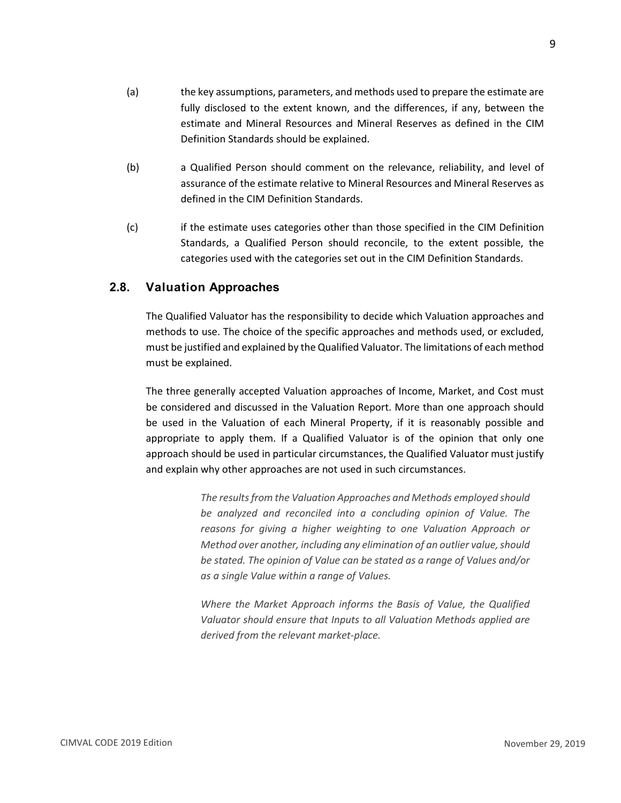- (a) the key assumptions, parameters, and methods used to prepare the estimate are fully disclosed to the extent known, and the differences, if any, between the estimate and Mineral Resources and Mineral Reserves as defined in the CIM Definition Standards should be explained.
- (b) a Qualified Person should comment on the relevance, reliability, and level of assurance of the estimate relative to Mineral Resources and Mineral Reserves as defined in the CIM Definition Standards.
- (c) if the estimate uses categories other than those specified in the CIM Definition Standards, a Qualified Person should reconcile, to the extent possible, the categories used with the categories set out in the CIM Definition Standards.

#### <span id="page-11-0"></span>**2.8. Valuation Approaches**

The Qualified Valuator has the responsibility to decide which Valuation approaches and methods to use. The choice of the specific approaches and methods used, or excluded, must be justified and explained by the Qualified Valuator. The limitations of each method must be explained.

The three generally accepted Valuation approaches of Income, Market, and Cost must be considered and discussed in the Valuation Report. More than one approach should be used in the Valuation of each Mineral Property, if it is reasonably possible and appropriate to apply them. If a Qualified Valuator is of the opinion that only one approach should be used in particular circumstances, the Qualified Valuator must justify and explain why other approaches are not used in such circumstances.

> *The results from the Valuation Approaches and Methods employed should be analyzed and reconciled into a concluding opinion of Value. The reasons for giving a higher weighting to one Valuation Approach or Method over another, including any elimination of an outlier value, should be stated. The opinion of Value can be stated as a range of Values and/or as a single Value within a range of Values.*

> *Where the Market Approach informs the Basis of Value, the Qualified Valuator should ensure that Inputs to all Valuation Methods applied are derived from the relevant market-place.*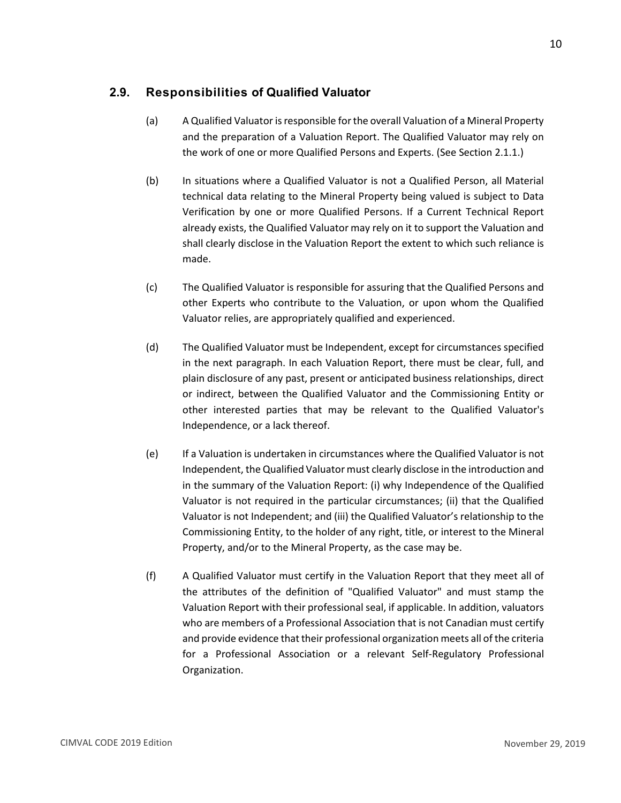# <span id="page-12-0"></span>**2.9. Responsibilities of Qualified Valuator**

- (a) A Qualified Valuator is responsible for the overall Valuation of a Mineral Property and the preparation of a Valuation Report. The Qualified Valuator may rely on the work of one or more Qualified Persons and Experts. (See Section 2.1.1.)
- (b) In situations where a Qualified Valuator is not a Qualified Person, all Material technical data relating to the Mineral Property being valued is subject to Data Verification by one or more Qualified Persons. If a Current Technical Report already exists, the Qualified Valuator may rely on it to support the Valuation and shall clearly disclose in the Valuation Report the extent to which such reliance is made.
- (c) The Qualified Valuator is responsible for assuring that the Qualified Persons and other Experts who contribute to the Valuation, or upon whom the Qualified Valuator relies, are appropriately qualified and experienced.
- (d) The Qualified Valuator must be Independent, except for circumstances specified in the next paragraph. In each Valuation Report, there must be clear, full, and plain disclosure of any past, present or anticipated business relationships, direct or indirect, between the Qualified Valuator and the Commissioning Entity or other interested parties that may be relevant to the Qualified Valuator's Independence, or a lack thereof.
- (e) If a Valuation is undertaken in circumstances where the Qualified Valuator is not Independent, the Qualified Valuator must clearly disclose in the introduction and in the summary of the Valuation Report: (i) why Independence of the Qualified Valuator is not required in the particular circumstances; (ii) that the Qualified Valuator is not Independent; and (iii) the Qualified Valuator's relationship to the Commissioning Entity, to the holder of any right, title, or interest to the Mineral Property, and/or to the Mineral Property, as the case may be.
- (f) A Qualified Valuator must certify in the Valuation Report that they meet all of the attributes of the definition of "Qualified Valuator" and must stamp the Valuation Report with their professional seal, if applicable. In addition, valuators who are members of a Professional Association that is not Canadian must certify and provide evidence that their professional organization meets all of the criteria for a Professional Association or a relevant Self-Regulatory Professional Organization.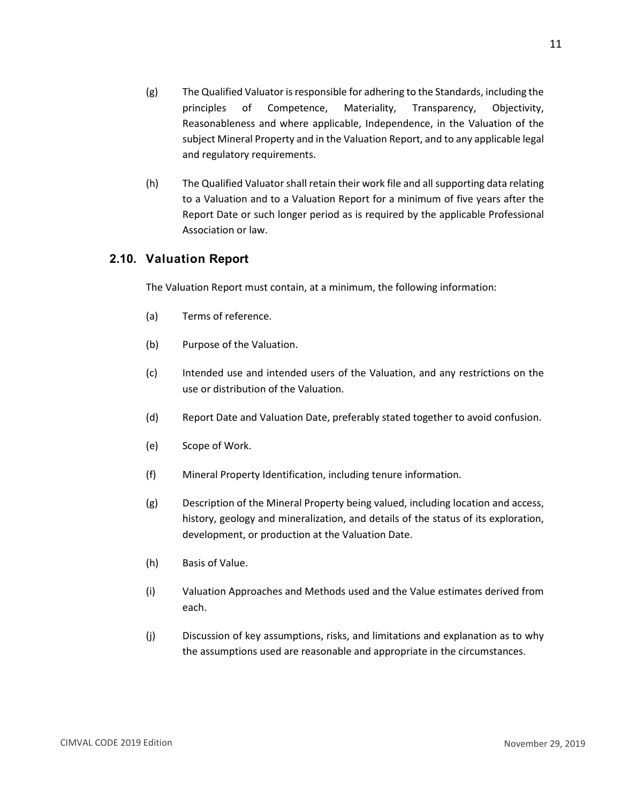- (g) The Qualified Valuator is responsible for adhering to the Standards, including the principles of Competence, Materiality, Transparency, Objectivity, Reasonableness and where applicable, Independence, in the Valuation of the subject Mineral Property and in the Valuation Report, and to any applicable legal and regulatory requirements.
- (h) The Qualified Valuator shall retain their work file and all supporting data relating to a Valuation and to a Valuation Report for a minimum of five years after the Report Date or such longer period as is required by the applicable Professional Association or law.

#### <span id="page-13-0"></span>**2.10. Valuation Report**

The Valuation Report must contain, at a minimum, the following information:

- (a) Terms of reference.
- (b) Purpose of the Valuation.
- (c) Intended use and intended users of the Valuation, and any restrictions on the use or distribution of the Valuation.
- (d) Report Date and Valuation Date, preferably stated together to avoid confusion.
- (e) Scope of Work.
- (f) Mineral Property Identification, including tenure information.
- (g) Description of the Mineral Property being valued, including location and access, history, geology and mineralization, and details of the status of its exploration, development, or production at the Valuation Date.
- (h) Basis of Value.
- (i) Valuation Approaches and Methods used and the Value estimates derived from each.
- (j) Discussion of key assumptions, risks, and limitations and explanation as to why the assumptions used are reasonable and appropriate in the circumstances.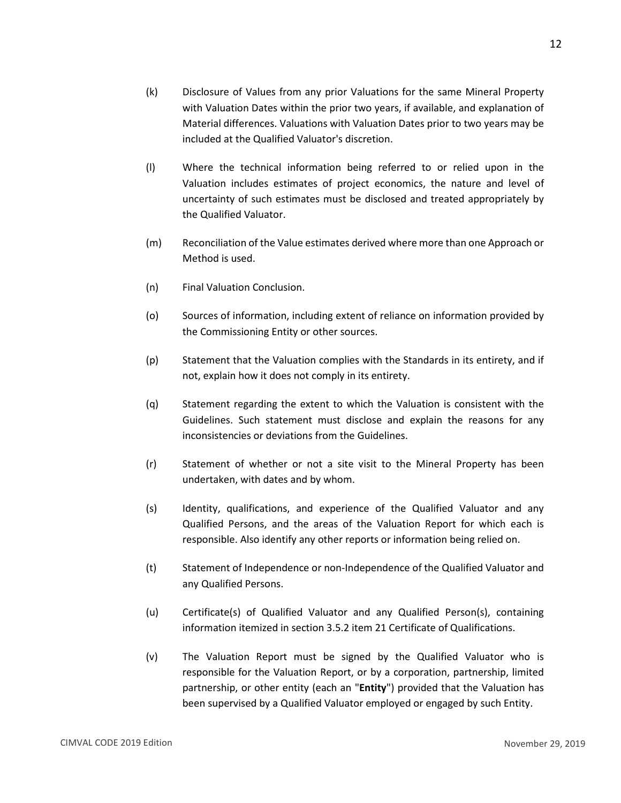- (k) Disclosure of Values from any prior Valuations for the same Mineral Property with Valuation Dates within the prior two years, if available, and explanation of Material differences. Valuations with Valuation Dates prior to two years may be included at the Qualified Valuator's discretion.
- (l) Where the technical information being referred to or relied upon in the Valuation includes estimates of project economics, the nature and level of uncertainty of such estimates must be disclosed and treated appropriately by the Qualified Valuator.
- (m) Reconciliation of the Value estimates derived where more than one Approach or Method is used.
- (n) Final Valuation Conclusion.
- (o) Sources of information, including extent of reliance on information provided by the Commissioning Entity or other sources.
- (p) Statement that the Valuation complies with the Standards in its entirety, and if not, explain how it does not comply in its entirety.
- (q) Statement regarding the extent to which the Valuation is consistent with the Guidelines. Such statement must disclose and explain the reasons for any inconsistencies or deviations from the Guidelines.
- (r) Statement of whether or not a site visit to the Mineral Property has been undertaken, with dates and by whom.
- (s) Identity, qualifications, and experience of the Qualified Valuator and any Qualified Persons, and the areas of the Valuation Report for which each is responsible. Also identify any other reports or information being relied on.
- (t) Statement of Independence or non-Independence of the Qualified Valuator and any Qualified Persons.
- (u) Certificate(s) of Qualified Valuator and any Qualified Person(s), containing information itemized in section 3.5.2 item 21 Certificate of Qualifications.
- (v) The Valuation Report must be signed by the Qualified Valuator who is responsible for the Valuation Report, or by a corporation, partnership, limited partnership, or other entity (each an "**Entity**") provided that the Valuation has been supervised by a Qualified Valuator employed or engaged by such Entity.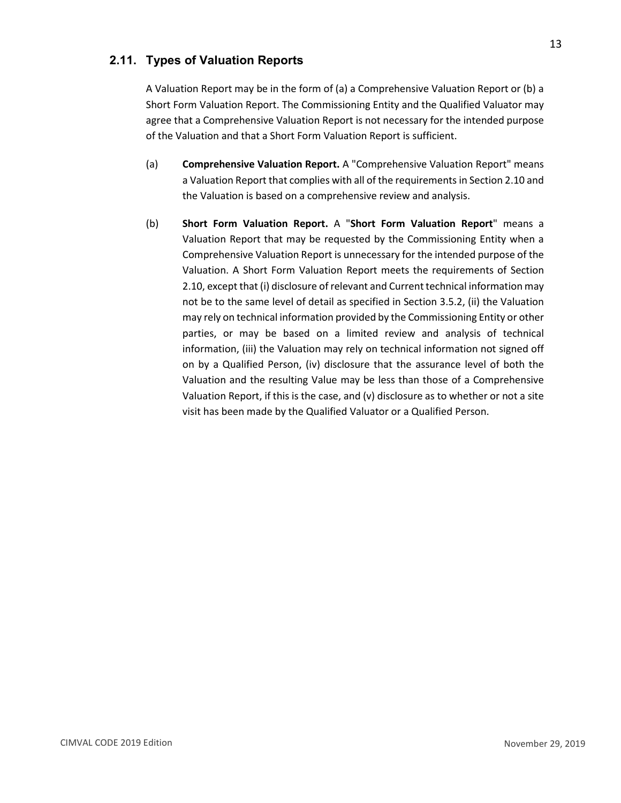# <span id="page-15-0"></span>**2.11. Types of Valuation Reports**

A Valuation Report may be in the form of (a) a Comprehensive Valuation Report or (b) a Short Form Valuation Report. The Commissioning Entity and the Qualified Valuator may agree that a Comprehensive Valuation Report is not necessary for the intended purpose of the Valuation and that a Short Form Valuation Report is sufficient.

- (a) **Comprehensive Valuation Report.** A "Comprehensive Valuation Report" means a Valuation Report that complies with all of the requirements in Section 2.10 and the Valuation is based on a comprehensive review and analysis.
- (b) **Short Form Valuation Report.** A "**Short Form Valuation Report**" means a Valuation Report that may be requested by the Commissioning Entity when a Comprehensive Valuation Report is unnecessary for the intended purpose of the Valuation. A Short Form Valuation Report meets the requirements of Section 2.10, except that (i) disclosure of relevant and Current technical information may not be to the same level of detail as specified in Section 3.5.2, (ii) the Valuation may rely on technical information provided by the Commissioning Entity or other parties, or may be based on a limited review and analysis of technical information, (iii) the Valuation may rely on technical information not signed off on by a Qualified Person, (iv) disclosure that the assurance level of both the Valuation and the resulting Value may be less than those of a Comprehensive Valuation Report, if this is the case, and (v) disclosure as to whether or not a site visit has been made by the Qualified Valuator or a Qualified Person.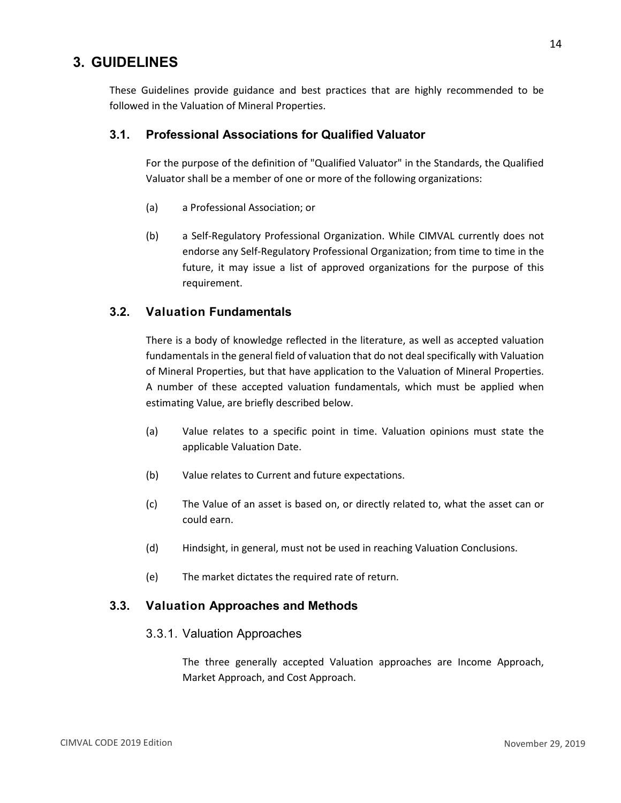# <span id="page-16-0"></span>**3. GUIDELINES**

These Guidelines provide guidance and best practices that are highly recommended to be followed in the Valuation of Mineral Properties.

#### <span id="page-16-1"></span>**3.1. Professional Associations for Qualified Valuator**

For the purpose of the definition of "Qualified Valuator" in the Standards, the Qualified Valuator shall be a member of one or more of the following organizations:

- (a) a Professional Association; or
- (b) a Self-Regulatory Professional Organization. While CIMVAL currently does not endorse any Self-Regulatory Professional Organization; from time to time in the future, it may issue a list of approved organizations for the purpose of this requirement.

#### <span id="page-16-2"></span>**3.2. Valuation Fundamentals**

There is a body of knowledge reflected in the literature, as well as accepted valuation fundamentals in the general field of valuation that do not deal specifically with Valuation of Mineral Properties, but that have application to the Valuation of Mineral Properties. A number of these accepted valuation fundamentals, which must be applied when estimating Value, are briefly described below.

- (a) Value relates to a specific point in time. Valuation opinions must state the applicable Valuation Date.
- (b) Value relates to Current and future expectations.
- (c) The Value of an asset is based on, or directly related to, what the asset can or could earn.
- (d) Hindsight, in general, must not be used in reaching Valuation Conclusions.
- (e) The market dictates the required rate of return.

#### <span id="page-16-4"></span><span id="page-16-3"></span>**3.3. Valuation Approaches and Methods**

#### 3.3.1. Valuation Approaches

The three generally accepted Valuation approaches are Income Approach, Market Approach, and Cost Approach.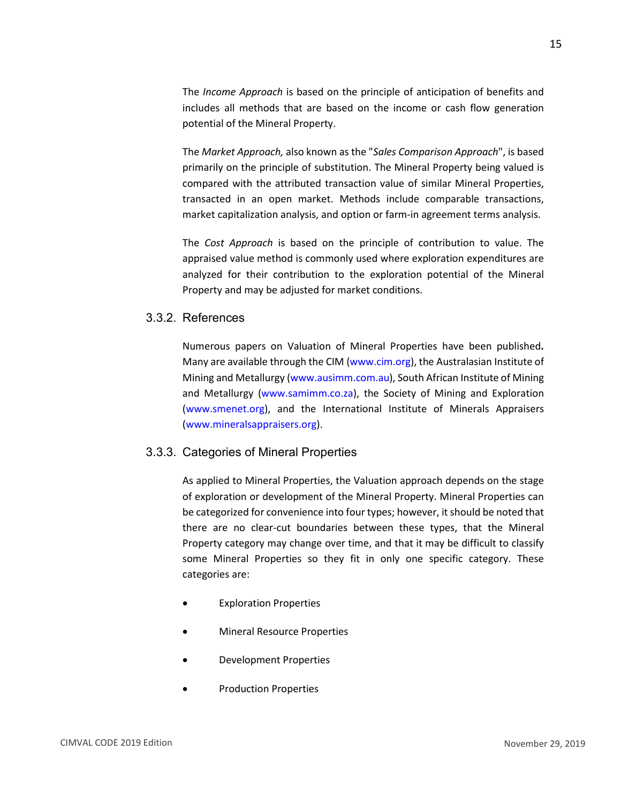The *Income Approach* is based on the principle of anticipation of benefits and includes all methods that are based on the income or cash flow generation potential of the Mineral Property.

The *Market Approach,* also known as the "*Sales Comparison Approach*", is based primarily on the principle of substitution. The Mineral Property being valued is compared with the attributed transaction value of similar Mineral Properties, transacted in an open market. Methods include comparable transactions, market capitalization analysis, and option or farm-in agreement terms analysis.

The *Cost Approach* is based on the principle of contribution to value. The appraised value method is commonly used where exploration expenditures are analyzed for their contribution to the exploration potential of the Mineral Property and may be adjusted for market conditions.

#### <span id="page-17-0"></span>3.3.2. References

Numerous papers on Valuation of Mineral Properties have been published**.**  Many are available through the CIM [\(www.cim.org\)](http://www.cim.org/), the Australasian Institute of Mining and Metallurgy [\(www.ausimm.com.au\)](http://www.ausimm.com.au/), South African Institute of Mining and Metallurgy [\(www.samimm.co.za\)](http://www.samimm.co.za/), the Society of Mining and Exploration [\(www.smenet.org\)](http://www.smenet.org/), and the International Institute of Minerals Appraisers [\(www.mineralsappraisers.org\)](http://www.mineralsappraisers.org/).

#### <span id="page-17-1"></span>3.3.3. Categories of Mineral Properties

As applied to Mineral Properties, the Valuation approach depends on the stage of exploration or development of the Mineral Property. Mineral Properties can be categorized for convenience into four types; however, it should be noted that there are no clear-cut boundaries between these types, that the Mineral Property category may change over time, and that it may be difficult to classify some Mineral Properties so they fit in only one specific category. These categories are:

- **Exploration Properties**
- Mineral Resource Properties
- Development Properties
- Production Properties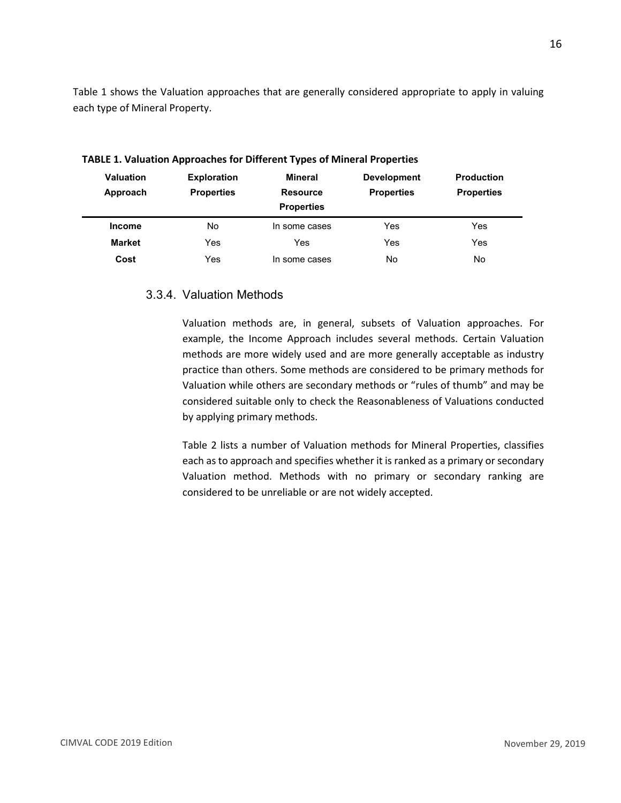Table 1 shows the Valuation approaches that are generally considered appropriate to apply in valuing each type of Mineral Property.

| <b>Valuation</b><br>Approach | <b>Exploration</b><br><b>Properties</b> | Mineral<br><b>Resource</b><br><b>Properties</b> | <b>Development</b><br><b>Properties</b> | <b>Production</b><br><b>Properties</b> |
|------------------------------|-----------------------------------------|-------------------------------------------------|-----------------------------------------|----------------------------------------|
| <b>Income</b>                | No                                      | In some cases                                   | Yes                                     | Yes                                    |
| <b>Market</b>                | Yes                                     | Yes                                             | Yes                                     | Yes                                    |
| Cost                         | Yes                                     | In some cases                                   | No                                      | No                                     |

**TABLE 1. Valuation Approaches for Different Types of Mineral Properties**

#### <span id="page-18-0"></span>3.3.4. Valuation Methods

Valuation methods are, in general, subsets of Valuation approaches. For example, the Income Approach includes several methods. Certain Valuation methods are more widely used and are more generally acceptable as industry practice than others. Some methods are considered to be primary methods for Valuation while others are secondary methods or "rules of thumb" and may be considered suitable only to check the Reasonableness of Valuations conducted by applying primary methods.

Table 2 lists a number of Valuation methods for Mineral Properties, classifies each as to approach and specifies whether it is ranked as a primary or secondary Valuation method. Methods with no primary or secondary ranking are considered to be unreliable or are not widely accepted.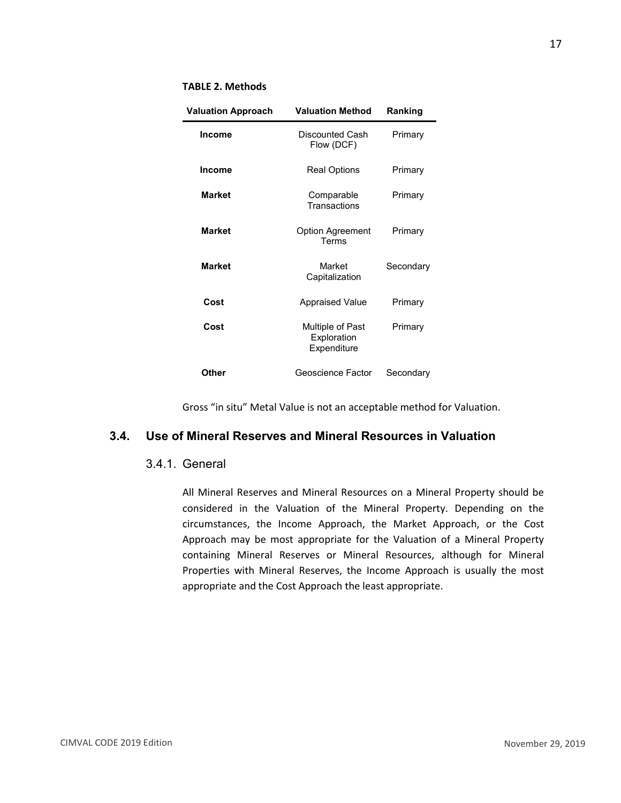#### **TABLE 2. Methods**

| <b>Valuation Approach</b> | <b>Valuation Method</b>                        | Ranking   |  |
|---------------------------|------------------------------------------------|-----------|--|
| <b>Income</b>             | Discounted Cash<br>Flow (DCF)                  | Primary   |  |
| Income                    | Real Options                                   | Primary   |  |
| <b>Market</b>             | Comparable<br>Transactions                     | Primary   |  |
| <b>Market</b>             | <b>Option Agreement</b><br>Terms               | Primary   |  |
| <b>Market</b>             | Market<br>Capitalization                       | Secondary |  |
| Cost                      | <b>Appraised Value</b>                         | Primary   |  |
| Cost                      | Multiple of Past<br>Exploration<br>Expenditure | Primary   |  |
| Other                     | Geoscience Factor                              | Secondary |  |

Gross "in situ" Metal Value is not an acceptable method for Valuation.

#### <span id="page-19-1"></span><span id="page-19-0"></span>**3.4. Use of Mineral Reserves and Mineral Resources in Valuation**

#### 3.4.1. General

All Mineral Reserves and Mineral Resources on a Mineral Property should be considered in the Valuation of the Mineral Property. Depending on the circumstances, the Income Approach, the Market Approach, or the Cost Approach may be most appropriate for the Valuation of a Mineral Property containing Mineral Reserves or Mineral Resources, although for Mineral Properties with Mineral Reserves, the Income Approach is usually the most appropriate and the Cost Approach the least appropriate.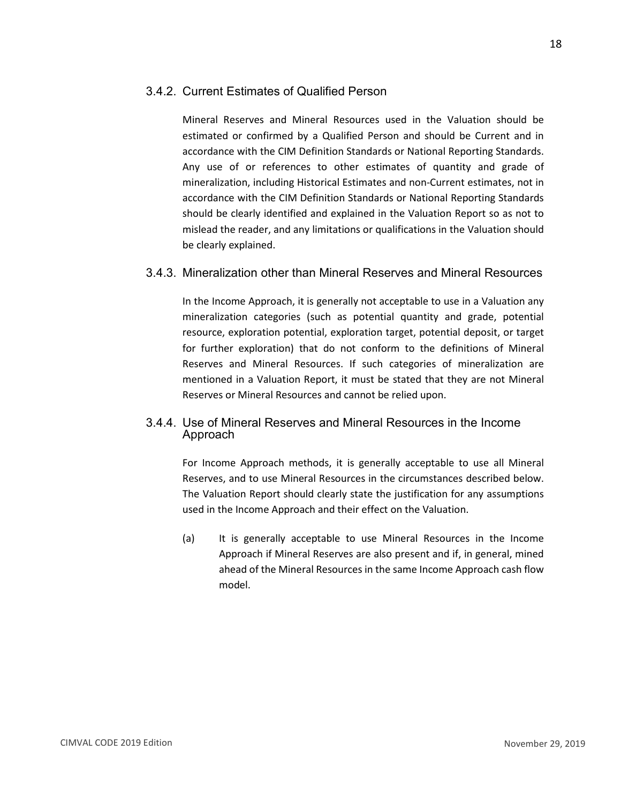<span id="page-20-0"></span>Mineral Reserves and Mineral Resources used in the Valuation should be estimated or confirmed by a Qualified Person and should be Current and in accordance with the CIM Definition Standards or National Reporting Standards. Any use of or references to other estimates of quantity and grade of mineralization, including Historical Estimates and non-Current estimates, not in accordance with the CIM Definition Standards or National Reporting Standards should be clearly identified and explained in the Valuation Report so as not to mislead the reader, and any limitations or qualifications in the Valuation should be clearly explained.

#### <span id="page-20-1"></span>3.4.3. Mineralization other than Mineral Reserves and Mineral Resources

In the Income Approach, it is generally not acceptable to use in a Valuation any mineralization categories (such as potential quantity and grade, potential resource, exploration potential, exploration target, potential deposit, or target for further exploration) that do not conform to the definitions of Mineral Reserves and Mineral Resources. If such categories of mineralization are mentioned in a Valuation Report, it must be stated that they are not Mineral Reserves or Mineral Resources and cannot be relied upon.

#### <span id="page-20-2"></span>3.4.4. Use of Mineral Reserves and Mineral Resources in the Income Approach

For Income Approach methods, it is generally acceptable to use all Mineral Reserves, and to use Mineral Resources in the circumstances described below. The Valuation Report should clearly state the justification for any assumptions used in the Income Approach and their effect on the Valuation.

(a) It is generally acceptable to use Mineral Resources in the Income Approach if Mineral Reserves are also present and if, in general, mined ahead of the Mineral Resources in the same Income Approach cash flow model.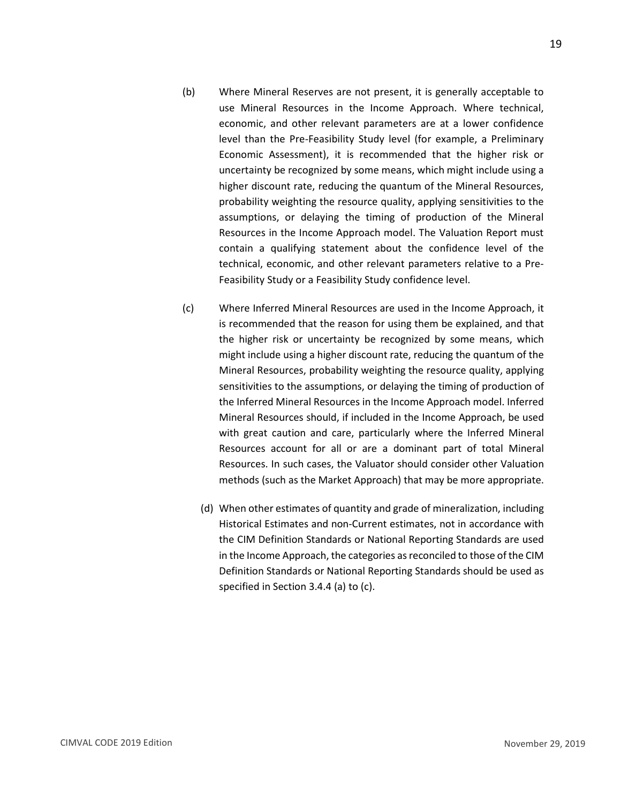- (b) Where Mineral Reserves are not present, it is generally acceptable to use Mineral Resources in the Income Approach. Where technical, economic, and other relevant parameters are at a lower confidence level than the Pre-Feasibility Study level (for example, a Preliminary Economic Assessment), it is recommended that the higher risk or uncertainty be recognized by some means, which might include using a higher discount rate, reducing the quantum of the Mineral Resources, probability weighting the resource quality, applying sensitivities to the assumptions, or delaying the timing of production of the Mineral Resources in the Income Approach model. The Valuation Report must contain a qualifying statement about the confidence level of the technical, economic, and other relevant parameters relative to a Pre-Feasibility Study or a Feasibility Study confidence level.
- (c) Where Inferred Mineral Resources are used in the Income Approach, it is recommended that the reason for using them be explained, and that the higher risk or uncertainty be recognized by some means, which might include using a higher discount rate, reducing the quantum of the Mineral Resources, probability weighting the resource quality, applying sensitivities to the assumptions, or delaying the timing of production of the Inferred Mineral Resources in the Income Approach model. Inferred Mineral Resources should, if included in the Income Approach, be used with great caution and care, particularly where the Inferred Mineral Resources account for all or are a dominant part of total Mineral Resources. In such cases, the Valuator should consider other Valuation methods (such as the Market Approach) that may be more appropriate.
	- (d) When other estimates of quantity and grade of mineralization, including Historical Estimates and non-Current estimates, not in accordance with the CIM Definition Standards or National Reporting Standards are used in the Income Approach, the categories as reconciled to those of the CIM Definition Standards or National Reporting Standards should be used as specified in Section 3.4.4 (a) to (c).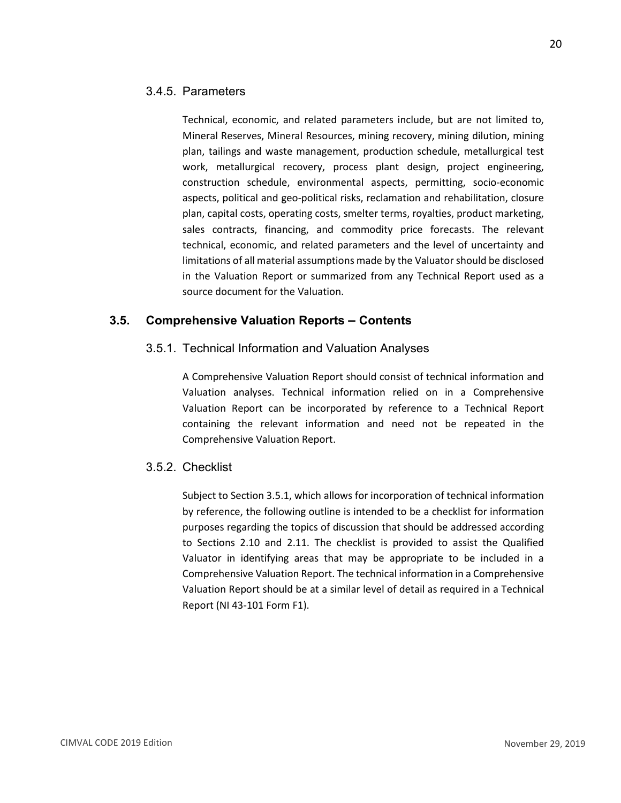#### <span id="page-22-0"></span>3.4.5. Parameters

Technical, economic, and related parameters include, but are not limited to, Mineral Reserves, Mineral Resources, mining recovery, mining dilution, mining plan, tailings and waste management, production schedule, metallurgical test work, metallurgical recovery, process plant design, project engineering, construction schedule, environmental aspects, permitting, socio-economic aspects, political and geo-political risks, reclamation and rehabilitation, closure plan, capital costs, operating costs, smelter terms, royalties, product marketing, sales contracts, financing, and commodity price forecasts. The relevant technical, economic, and related parameters and the level of uncertainty and limitations of all material assumptions made by the Valuator should be disclosed in the Valuation Report or summarized from any Technical Report used as a source document for the Valuation.

#### <span id="page-22-2"></span><span id="page-22-1"></span>**3.5. Comprehensive Valuation Reports – Contents**

#### 3.5.1. Technical Information and Valuation Analyses

A Comprehensive Valuation Report should consist of technical information and Valuation analyses. Technical information relied on in a Comprehensive Valuation Report can be incorporated by reference to a Technical Report containing the relevant information and need not be repeated in the Comprehensive Valuation Report.

#### <span id="page-22-3"></span>3.5.2. Checklist

Subject to Section 3.5.1, which allows for incorporation of technical information by reference, the following outline is intended to be a checklist for information purposes regarding the topics of discussion that should be addressed according to Sections 2.10 and 2.11. The checklist is provided to assist the Qualified Valuator in identifying areas that may be appropriate to be included in a Comprehensive Valuation Report. The technical information in a Comprehensive Valuation Report should be at a similar level of detail as required in a Technical Report (NI 43-101 Form F1).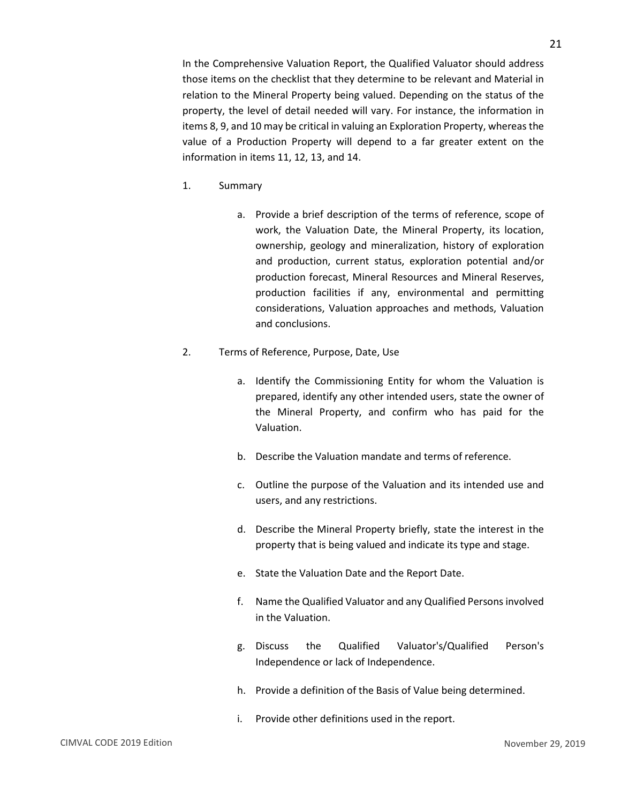In the Comprehensive Valuation Report, the Qualified Valuator should address those items on the checklist that they determine to be relevant and Material in relation to the Mineral Property being valued. Depending on the status of the property, the level of detail needed will vary. For instance, the information in items 8, 9, and 10 may be critical in valuing an Exploration Property, whereas the value of a Production Property will depend to a far greater extent on the information in items 11, 12, 13, and 14.

- 1. Summary
	- a. Provide a brief description of the terms of reference, scope of work, the Valuation Date, the Mineral Property, its location, ownership, geology and mineralization, history of exploration and production, current status, exploration potential and/or production forecast, Mineral Resources and Mineral Reserves, production facilities if any, environmental and permitting considerations, Valuation approaches and methods, Valuation and conclusions.
- 2. Terms of Reference, Purpose, Date, Use
	- a. Identify the Commissioning Entity for whom the Valuation is prepared, identify any other intended users, state the owner of the Mineral Property, and confirm who has paid for the Valuation.
	- b. Describe the Valuation mandate and terms of reference.
	- c. Outline the purpose of the Valuation and its intended use and users, and any restrictions.
	- d. Describe the Mineral Property briefly, state the interest in the property that is being valued and indicate its type and stage.
	- e. State the Valuation Date and the Report Date.
	- f. Name the Qualified Valuator and any Qualified Persons involved in the Valuation.
	- g. Discuss the Qualified Valuator's/Qualified Person's Independence or lack of Independence.
	- h. Provide a definition of the Basis of Value being determined.
	- i. Provide other definitions used in the report.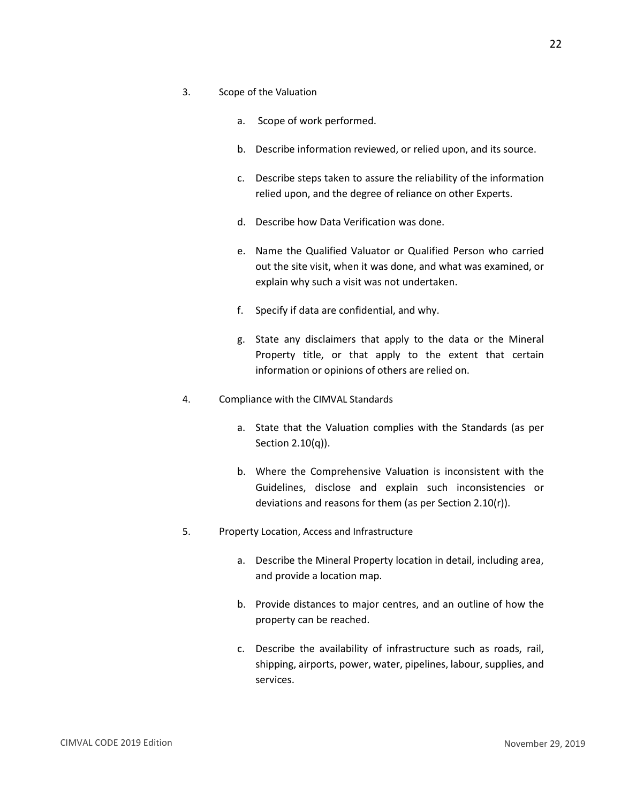- 3. Scope of the Valuation
	- a. Scope of work performed.
	- b. Describe information reviewed, or relied upon, and its source.
	- c. Describe steps taken to assure the reliability of the information relied upon, and the degree of reliance on other Experts.
	- d. Describe how Data Verification was done.
	- e. Name the Qualified Valuator or Qualified Person who carried out the site visit, when it was done, and what was examined, or explain why such a visit was not undertaken.
	- f. Specify if data are confidential, and why.
	- g. State any disclaimers that apply to the data or the Mineral Property title, or that apply to the extent that certain information or opinions of others are relied on.
- 4. Compliance with the CIMVAL Standards
	- a. State that the Valuation complies with the Standards (as per Section 2.10(q)).
	- b. Where the Comprehensive Valuation is inconsistent with the Guidelines, disclose and explain such inconsistencies or deviations and reasons for them (as per Section 2.10(r)).
- 5. Property Location, Access and Infrastructure
	- a. Describe the Mineral Property location in detail, including area, and provide a location map.
	- b. Provide distances to major centres, and an outline of how the property can be reached.
	- c. Describe the availability of infrastructure such as roads, rail, shipping, airports, power, water, pipelines, labour, supplies, and services.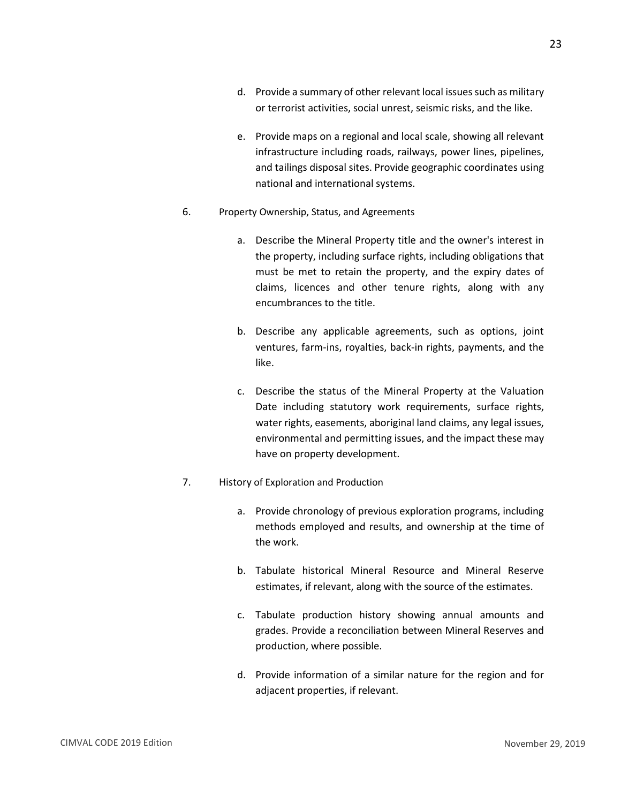- d. Provide a summary of other relevant local issues such as military or terrorist activities, social unrest, seismic risks, and the like.
- e. Provide maps on a regional and local scale, showing all relevant infrastructure including roads, railways, power lines, pipelines, and tailings disposal sites. Provide geographic coordinates using national and international systems.
- 6. Property Ownership, Status, and Agreements
	- a. Describe the Mineral Property title and the owner's interest in the property, including surface rights, including obligations that must be met to retain the property, and the expiry dates of claims, licences and other tenure rights, along with any encumbrances to the title.
	- b. Describe any applicable agreements, such as options, joint ventures, farm-ins, royalties, back-in rights, payments, and the like.
	- c. Describe the status of the Mineral Property at the Valuation Date including statutory work requirements, surface rights, water rights, easements, aboriginal land claims, any legal issues, environmental and permitting issues, and the impact these may have on property development.
- 7. History of Exploration and Production
	- a. Provide chronology of previous exploration programs, including methods employed and results, and ownership at the time of the work.
	- b. Tabulate historical Mineral Resource and Mineral Reserve estimates, if relevant, along with the source of the estimates.
	- c. Tabulate production history showing annual amounts and grades. Provide a reconciliation between Mineral Reserves and production, where possible.
	- d. Provide information of a similar nature for the region and for adjacent properties, if relevant.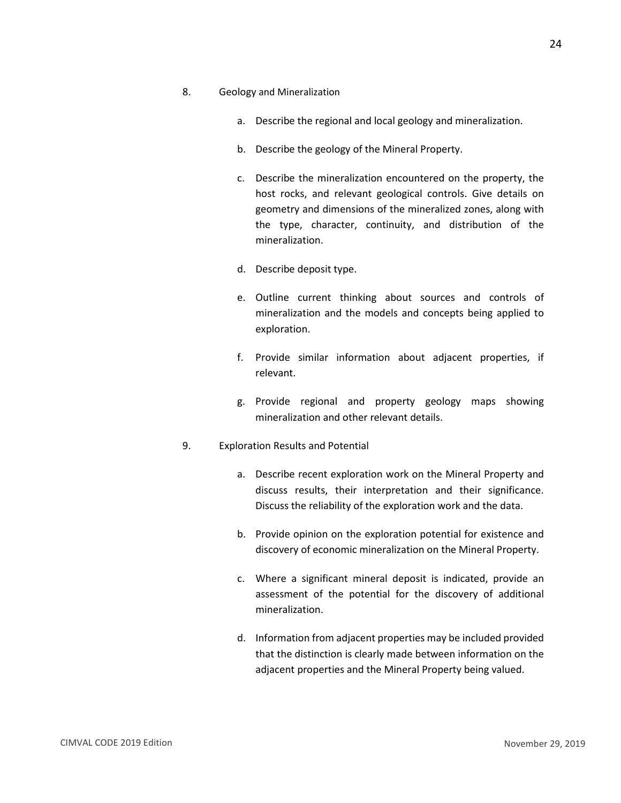- a. Describe the regional and local geology and mineralization.
- b. Describe the geology of the Mineral Property.
- c. Describe the mineralization encountered on the property, the host rocks, and relevant geological controls. Give details on geometry and dimensions of the mineralized zones, along with the type, character, continuity, and distribution of the mineralization.
- d. Describe deposit type.
- e. Outline current thinking about sources and controls of mineralization and the models and concepts being applied to exploration.
- f. Provide similar information about adjacent properties, if relevant.
- g. Provide regional and property geology maps showing mineralization and other relevant details.
- 9. Exploration Results and Potential
	- a. Describe recent exploration work on the Mineral Property and discuss results, their interpretation and their significance. Discuss the reliability of the exploration work and the data.
	- b. Provide opinion on the exploration potential for existence and discovery of economic mineralization on the Mineral Property.
	- c. Where a significant mineral deposit is indicated, provide an assessment of the potential for the discovery of additional mineralization.
	- d. Information from adjacent properties may be included provided that the distinction is clearly made between information on the adjacent properties and the Mineral Property being valued.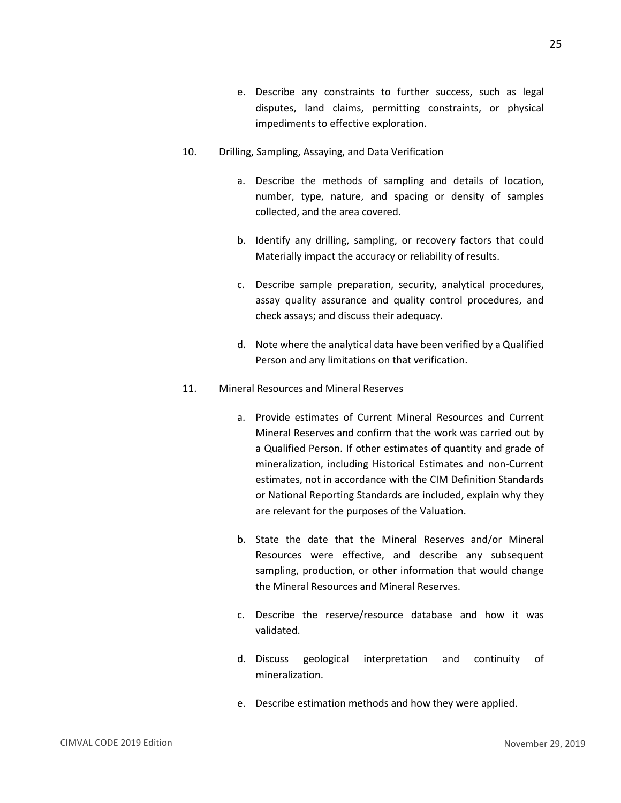- e. Describe any constraints to further success, such as legal disputes, land claims, permitting constraints, or physical impediments to effective exploration.
- 10. Drilling, Sampling, Assaying, and Data Verification
	- a. Describe the methods of sampling and details of location, number, type, nature, and spacing or density of samples collected, and the area covered.
	- b. Identify any drilling, sampling, or recovery factors that could Materially impact the accuracy or reliability of results.
	- c. Describe sample preparation, security, analytical procedures, assay quality assurance and quality control procedures, and check assays; and discuss their adequacy.
	- d. Note where the analytical data have been verified by a Qualified Person and any limitations on that verification.
- 11. Mineral Resources and Mineral Reserves
	- a. Provide estimates of Current Mineral Resources and Current Mineral Reserves and confirm that the work was carried out by a Qualified Person. If other estimates of quantity and grade of mineralization, including Historical Estimates and non-Current estimates, not in accordance with the CIM Definition Standards or National Reporting Standards are included, explain why they are relevant for the purposes of the Valuation.
	- b. State the date that the Mineral Reserves and/or Mineral Resources were effective, and describe any subsequent sampling, production, or other information that would change the Mineral Resources and Mineral Reserves.
	- c. Describe the reserve/resource database and how it was validated.
	- d. Discuss geological interpretation and continuity of mineralization.
	- e. Describe estimation methods and how they were applied.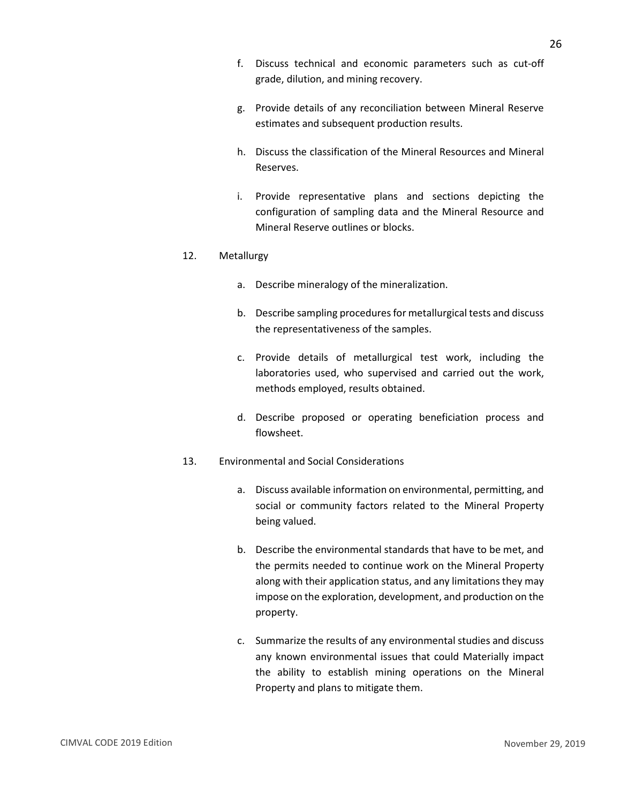- f. Discuss technical and economic parameters such as cut-off grade, dilution, and mining recovery.
- g. Provide details of any reconciliation between Mineral Reserve estimates and subsequent production results.
- h. Discuss the classification of the Mineral Resources and Mineral Reserves.
- i. Provide representative plans and sections depicting the configuration of sampling data and the Mineral Resource and Mineral Reserve outlines or blocks.

#### 12. Metallurgy

- a. Describe mineralogy of the mineralization.
- b. Describe sampling procedures for metallurgical tests and discuss the representativeness of the samples.
- c. Provide details of metallurgical test work, including the laboratories used, who supervised and carried out the work, methods employed, results obtained.
- d. Describe proposed or operating beneficiation process and flowsheet.
- 13. Environmental and Social Considerations
	- a. Discuss available information on environmental, permitting, and social or community factors related to the Mineral Property being valued.
	- b. Describe the environmental standards that have to be met, and the permits needed to continue work on the Mineral Property along with their application status, and any limitations they may impose on the exploration, development, and production on the property.
	- c. Summarize the results of any environmental studies and discuss any known environmental issues that could Materially impact the ability to establish mining operations on the Mineral Property and plans to mitigate them.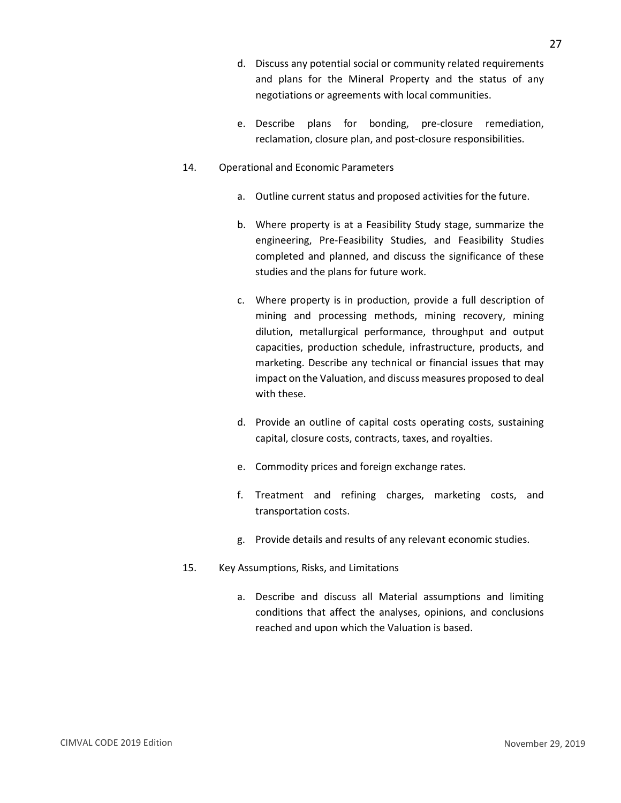- d. Discuss any potential social or community related requirements and plans for the Mineral Property and the status of any negotiations or agreements with local communities.
- e. Describe plans for bonding, pre-closure remediation, reclamation, closure plan, and post-closure responsibilities.
- 14. Operational and Economic Parameters
	- a. Outline current status and proposed activities for the future.
	- b. Where property is at a Feasibility Study stage, summarize the engineering, Pre-Feasibility Studies, and Feasibility Studies completed and planned, and discuss the significance of these studies and the plans for future work.
	- c. Where property is in production, provide a full description of mining and processing methods, mining recovery, mining dilution, metallurgical performance, throughput and output capacities, production schedule, infrastructure, products, and marketing. Describe any technical or financial issues that may impact on the Valuation, and discuss measures proposed to deal with these.
	- d. Provide an outline of capital costs operating costs, sustaining capital, closure costs, contracts, taxes, and royalties.
	- e. Commodity prices and foreign exchange rates.
	- f. Treatment and refining charges, marketing costs, and transportation costs.
	- g. Provide details and results of any relevant economic studies.
- 15. Key Assumptions, Risks, and Limitations
	- a. Describe and discuss all Material assumptions and limiting conditions that affect the analyses, opinions, and conclusions reached and upon which the Valuation is based.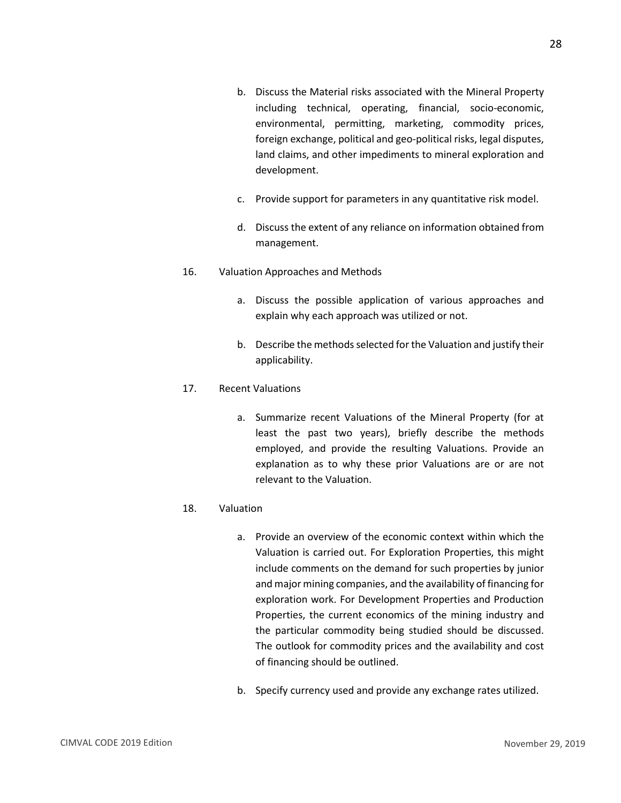- b. Discuss the Material risks associated with the Mineral Property including technical, operating, financial, socio-economic, environmental, permitting, marketing, commodity prices, foreign exchange, political and geo-political risks, legal disputes, land claims, and other impediments to mineral exploration and development.
- c. Provide support for parameters in any quantitative risk model.
- d. Discuss the extent of any reliance on information obtained from management.
- 16. Valuation Approaches and Methods
	- a. Discuss the possible application of various approaches and explain why each approach was utilized or not.
	- b. Describe the methods selected for the Valuation and justify their applicability.

#### 17. Recent Valuations

a. Summarize recent Valuations of the Mineral Property (for at least the past two years), briefly describe the methods employed, and provide the resulting Valuations. Provide an explanation as to why these prior Valuations are or are not relevant to the Valuation.

#### 18. Valuation

- a. Provide an overview of the economic context within which the Valuation is carried out. For Exploration Properties, this might include comments on the demand for such properties by junior and major mining companies, and the availability of financing for exploration work. For Development Properties and Production Properties, the current economics of the mining industry and the particular commodity being studied should be discussed. The outlook for commodity prices and the availability and cost of financing should be outlined.
- b. Specify currency used and provide any exchange rates utilized.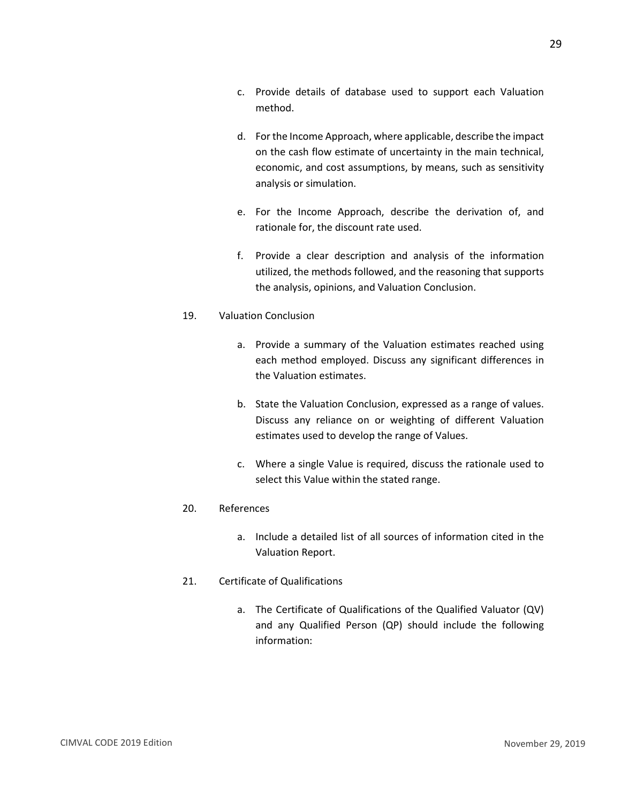- c. Provide details of database used to support each Valuation method.
- d. For the Income Approach, where applicable, describe the impact on the cash flow estimate of uncertainty in the main technical, economic, and cost assumptions, by means, such as sensitivity analysis or simulation.
- e. For the Income Approach, describe the derivation of, and rationale for, the discount rate used.
- f. Provide a clear description and analysis of the information utilized, the methods followed, and the reasoning that supports the analysis, opinions, and Valuation Conclusion.

#### 19. Valuation Conclusion

- a. Provide a summary of the Valuation estimates reached using each method employed. Discuss any significant differences in the Valuation estimates.
- b. State the Valuation Conclusion, expressed as a range of values. Discuss any reliance on or weighting of different Valuation estimates used to develop the range of Values.
- c. Where a single Value is required, discuss the rationale used to select this Value within the stated range.

#### 20. References

a. Include a detailed list of all sources of information cited in the Valuation Report.

#### 21. Certificate of Qualifications

a. The Certificate of Qualifications of the Qualified Valuator (QV) and any Qualified Person (QP) should include the following information: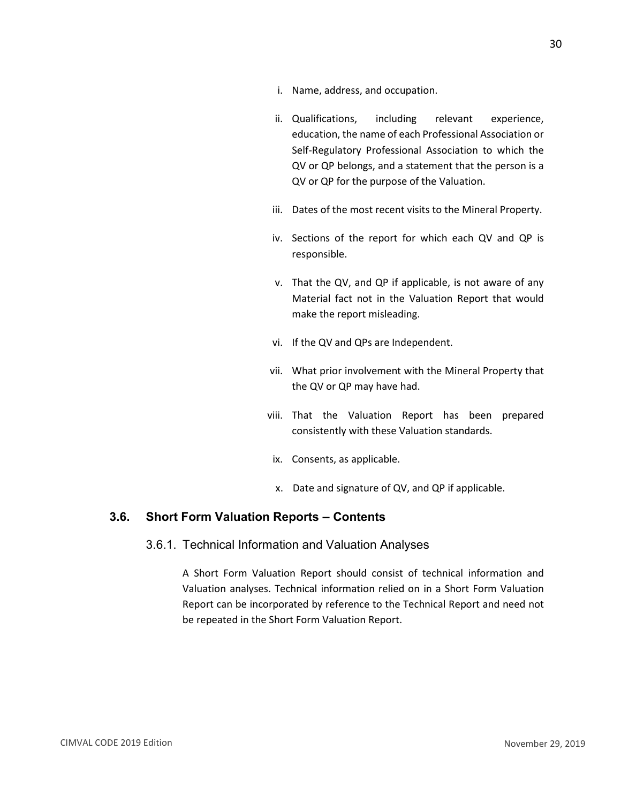- i. Name, address, and occupation.
- ii. Qualifications, including relevant experience, education, the name of each Professional Association or Self-Regulatory Professional Association to which the QV or QP belongs, and a statement that the person is a QV or QP for the purpose of the Valuation.
- iii. Dates of the most recent visits to the Mineral Property.
- iv. Sections of the report for which each QV and QP is responsible.
- v. That the QV, and QP if applicable, is not aware of any Material fact not in the Valuation Report that would make the report misleading.
- vi. If the QV and QPs are Independent.
- vii. What prior involvement with the Mineral Property that the QV or QP may have had.
- viii. That the Valuation Report has been prepared consistently with these Valuation standards.
- ix. Consents, as applicable.
- x. Date and signature of QV, and QP if applicable.

#### <span id="page-32-1"></span><span id="page-32-0"></span>**3.6. Short Form Valuation Reports – Contents**

#### 3.6.1. Technical Information and Valuation Analyses

A Short Form Valuation Report should consist of technical information and Valuation analyses. Technical information relied on in a Short Form Valuation Report can be incorporated by reference to the Technical Report and need not be repeated in the Short Form Valuation Report.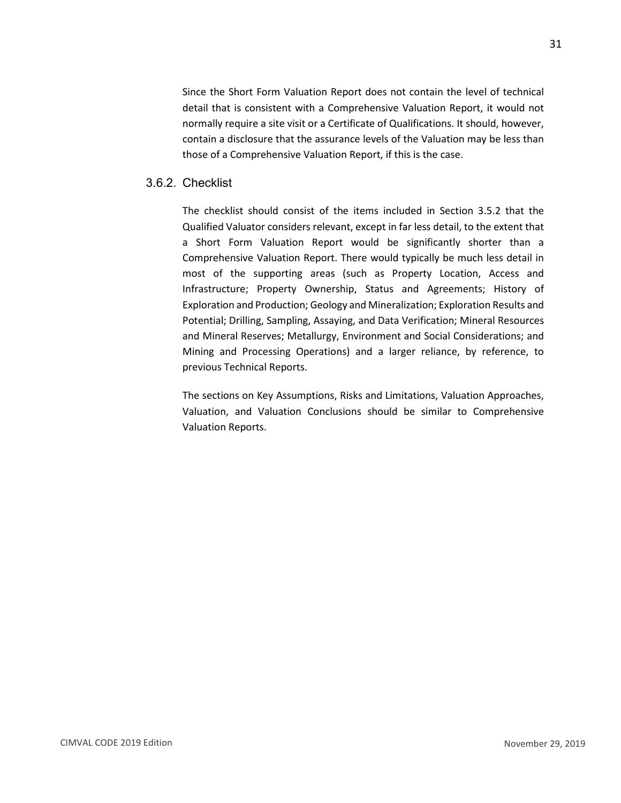Since the Short Form Valuation Report does not contain the level of technical detail that is consistent with a Comprehensive Valuation Report, it would not normally require a site visit or a Certificate of Qualifications. It should, however, contain a disclosure that the assurance levels of the Valuation may be less than those of a Comprehensive Valuation Report, if this is the case.

#### <span id="page-33-0"></span>3.6.2. Checklist

The checklist should consist of the items included in Section 3.5.2 that the Qualified Valuator considers relevant, except in far less detail, to the extent that a Short Form Valuation Report would be significantly shorter than a Comprehensive Valuation Report. There would typically be much less detail in most of the supporting areas (such as Property Location, Access and Infrastructure; Property Ownership, Status and Agreements; History of Exploration and Production; Geology and Mineralization; Exploration Results and Potential; Drilling, Sampling, Assaying, and Data Verification; Mineral Resources and Mineral Reserves; Metallurgy, Environment and Social Considerations; and Mining and Processing Operations) and a larger reliance, by reference, to previous Technical Reports.

The sections on Key Assumptions, Risks and Limitations, Valuation Approaches, Valuation, and Valuation Conclusions should be similar to Comprehensive Valuation Reports.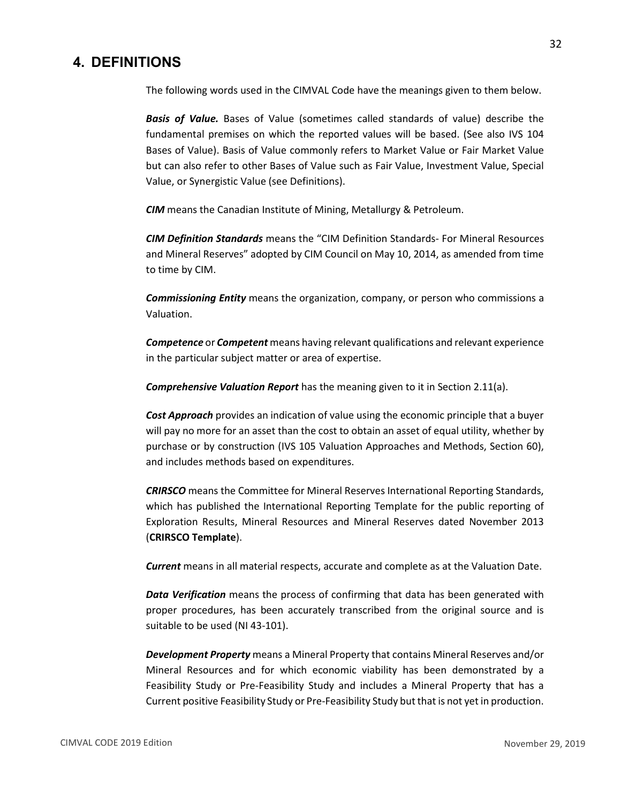# <span id="page-34-0"></span>**4. DEFINITIONS**

The following words used in the CIMVAL Code have the meanings given to them below.

*Basis of Value.* Bases of Value (sometimes called standards of value) describe the fundamental premises on which the reported values will be based. (See also IVS 104 Bases of Value). Basis of Value commonly refers to Market Value or Fair Market Value but can also refer to other Bases of Value such as Fair Value, Investment Value, Special Value, or Synergistic Value (see Definitions).

*CIM* means the Canadian Institute of Mining, Metallurgy & Petroleum.

*CIM Definition Standards* means the "CIM Definition Standards- For Mineral Resources and Mineral Reserves" adopted by CIM Council on May 10, 2014, as amended from time to time by CIM.

*Commissioning Entity* means the organization, company, or person who commissions a Valuation.

*Competence* or *Competent* means having relevant qualifications and relevant experience in the particular subject matter or area of expertise.

*Comprehensive Valuation Report* has the meaning given to it in Section 2.11(a).

*Cost Approach* provides an indication of value using the economic principle that a buyer will pay no more for an asset than the cost to obtain an asset of equal utility, whether by purchase or by construction (IVS 105 Valuation Approaches and Methods, Section 60), and includes methods based on expenditures.

*CRIRSCO* means the Committee for Mineral Reserves International Reporting Standards, which has published the International Reporting Template for the public reporting of Exploration Results, Mineral Resources and Mineral Reserves dated November 2013 (**CRIRSCO Template**).

*Current* means in all material respects, accurate and complete as at the Valuation Date.

*Data Verification* means the process of confirming that data has been generated with proper procedures, has been accurately transcribed from the original source and is suitable to be used (NI 43-101).

*Development Property* means a Mineral Property that contains Mineral Reserves and/or Mineral Resources and for which economic viability has been demonstrated by a Feasibility Study or Pre-Feasibility Study and includes a Mineral Property that has a Current positive Feasibility Study or Pre-Feasibility Study but that is not yet in production.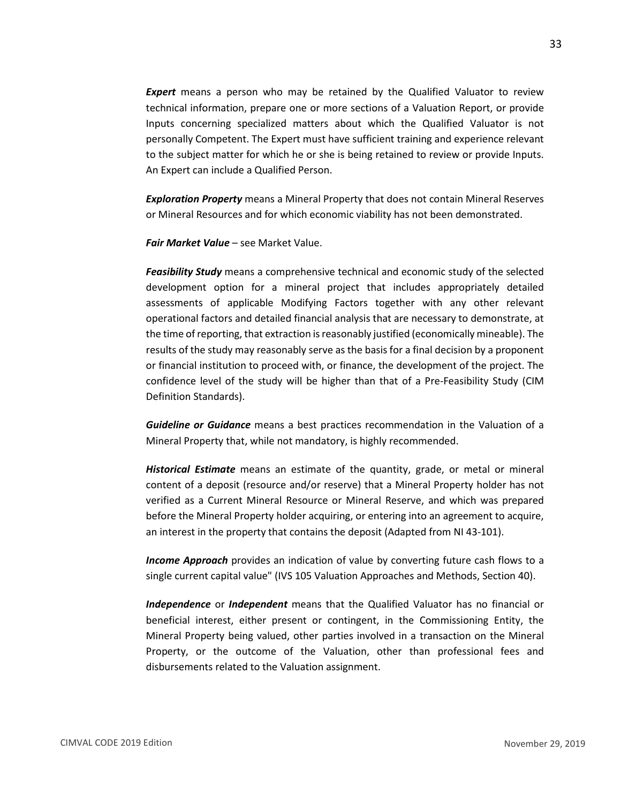**Expert** means a person who may be retained by the Qualified Valuator to review technical information, prepare one or more sections of a Valuation Report, or provide Inputs concerning specialized matters about which the Qualified Valuator is not personally Competent. The Expert must have sufficient training and experience relevant to the subject matter for which he or she is being retained to review or provide Inputs. An Expert can include a Qualified Person.

*Exploration Property* means a Mineral Property that does not contain Mineral Reserves or Mineral Resources and for which economic viability has not been demonstrated.

*Fair Market Value* – see Market Value.

*Feasibility Study* means a comprehensive technical and economic study of the selected development option for a mineral project that includes appropriately detailed assessments of applicable Modifying Factors together with any other relevant operational factors and detailed financial analysis that are necessary to demonstrate, at the time of reporting, that extraction is reasonably justified (economically mineable). The results of the study may reasonably serve as the basis for a final decision by a proponent or financial institution to proceed with, or finance, the development of the project. The confidence level of the study will be higher than that of a Pre-Feasibility Study (CIM Definition Standards).

*Guideline or Guidance* means a best practices recommendation in the Valuation of a Mineral Property that, while not mandatory, is highly recommended.

*Historical Estimate* means an estimate of the quantity, grade, or metal or mineral content of a deposit (resource and/or reserve) that a Mineral Property holder has not verified as a Current Mineral Resource or Mineral Reserve, and which was prepared before the Mineral Property holder acquiring, or entering into an agreement to acquire, an interest in the property that contains the deposit (Adapted from NI 43-101).

*Income Approach* provides an indication of value by converting future cash flows to a single current capital value" (IVS 105 Valuation Approaches and Methods, Section 40).

*Independence* or *Independent* means that the Qualified Valuator has no financial or beneficial interest, either present or contingent, in the Commissioning Entity, the Mineral Property being valued, other parties involved in a transaction on the Mineral Property, or the outcome of the Valuation, other than professional fees and disbursements related to the Valuation assignment.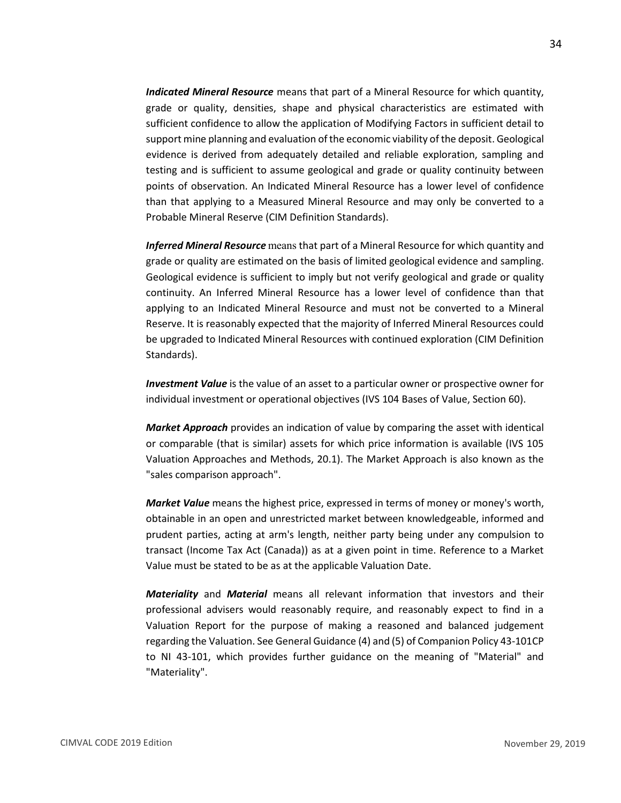*Indicated Mineral Resource* means that part of a Mineral Resource for which quantity, grade or quality, densities, shape and physical characteristics are estimated with sufficient confidence to allow the application of Modifying Factors in sufficient detail to support mine planning and evaluation of the economic viability of the deposit. Geological evidence is derived from adequately detailed and reliable exploration, sampling and testing and is sufficient to assume geological and grade or quality continuity between points of observation. An Indicated Mineral Resource has a lower level of confidence than that applying to a Measured Mineral Resource and may only be converted to a Probable Mineral Reserve (CIM Definition Standards).

*Inferred Mineral Resource* means that part of a Mineral Resource for which quantity and grade or quality are estimated on the basis of limited geological evidence and sampling. Geological evidence is sufficient to imply but not verify geological and grade or quality continuity. An Inferred Mineral Resource has a lower level of confidence than that applying to an Indicated Mineral Resource and must not be converted to a Mineral Reserve. It is reasonably expected that the majority of Inferred Mineral Resources could be upgraded to Indicated Mineral Resources with continued exploration (CIM Definition Standards).

*Investment Value* is the value of an asset to a particular owner or prospective owner for individual investment or operational objectives (IVS 104 Bases of Value, Section 60).

*Market Approach* provides an indication of value by comparing the asset with identical or comparable (that is similar) assets for which price information is available (IVS 105 Valuation Approaches and Methods, 20.1). The Market Approach is also known as the "sales comparison approach".

*Market Value* means the highest price, expressed in terms of money or money's worth, obtainable in an open and unrestricted market between knowledgeable, informed and prudent parties, acting at arm's length, neither party being under any compulsion to transact (Income Tax Act (Canada)) as at a given point in time. Reference to a Market Value must be stated to be as at the applicable Valuation Date.

*Materiality* and *Material* means all relevant information that investors and their professional advisers would reasonably require, and reasonably expect to find in a Valuation Report for the purpose of making a reasoned and balanced judgement regarding the Valuation. See General Guidance (4) and (5) of Companion Policy 43-101CP to NI 43-101, which provides further guidance on the meaning of "Material" and "Materiality".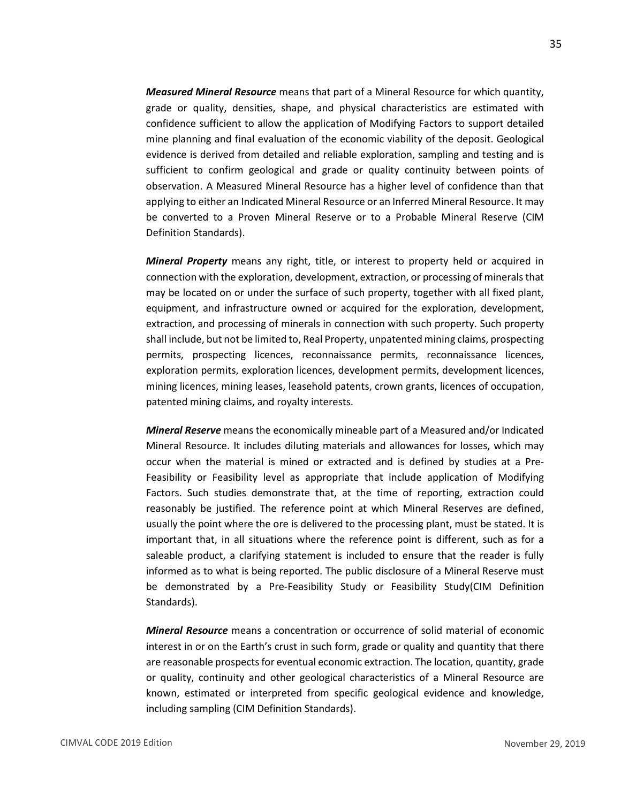*Measured Mineral Resource* means that part of a Mineral Resource for which quantity, grade or quality, densities, shape, and physical characteristics are estimated with confidence sufficient to allow the application of Modifying Factors to support detailed mine planning and final evaluation of the economic viability of the deposit. Geological evidence is derived from detailed and reliable exploration, sampling and testing and is sufficient to confirm geological and grade or quality continuity between points of observation. A Measured Mineral Resource has a higher level of confidence than that applying to either an Indicated Mineral Resource or an Inferred Mineral Resource. It may be converted to a Proven Mineral Reserve or to a Probable Mineral Reserve (CIM Definition Standards).

*Mineral Property* means any right, title, or interest to property held or acquired in connection with the exploration, development, extraction, or processing of minerals that may be located on or under the surface of such property, together with all fixed plant, equipment, and infrastructure owned or acquired for the exploration, development, extraction, and processing of minerals in connection with such property. Such property shall include, but not be limited to, Real Property, unpatented mining claims, prospecting permits, prospecting licences, reconnaissance permits, reconnaissance licences, exploration permits, exploration licences, development permits, development licences, mining licences, mining leases, leasehold patents, crown grants, licences of occupation, patented mining claims, and royalty interests.

*Mineral Reserve* means the economically mineable part of a Measured and/or Indicated Mineral Resource. It includes diluting materials and allowances for losses, which may occur when the material is mined or extracted and is defined by studies at a Pre-Feasibility or Feasibility level as appropriate that include application of Modifying Factors. Such studies demonstrate that, at the time of reporting, extraction could reasonably be justified. The reference point at which Mineral Reserves are defined, usually the point where the ore is delivered to the processing plant, must be stated. It is important that, in all situations where the reference point is different, such as for a saleable product, a clarifying statement is included to ensure that the reader is fully informed as to what is being reported. The public disclosure of a Mineral Reserve must be demonstrated by a Pre-Feasibility Study or Feasibility Study(CIM Definition Standards).

*Mineral Resource* means a concentration or occurrence of solid material of economic interest in or on the Earth's crust in such form, grade or quality and quantity that there are reasonable prospects for eventual economic extraction. The location, quantity, grade or quality, continuity and other geological characteristics of a Mineral Resource are known, estimated or interpreted from specific geological evidence and knowledge, including sampling (CIM Definition Standards).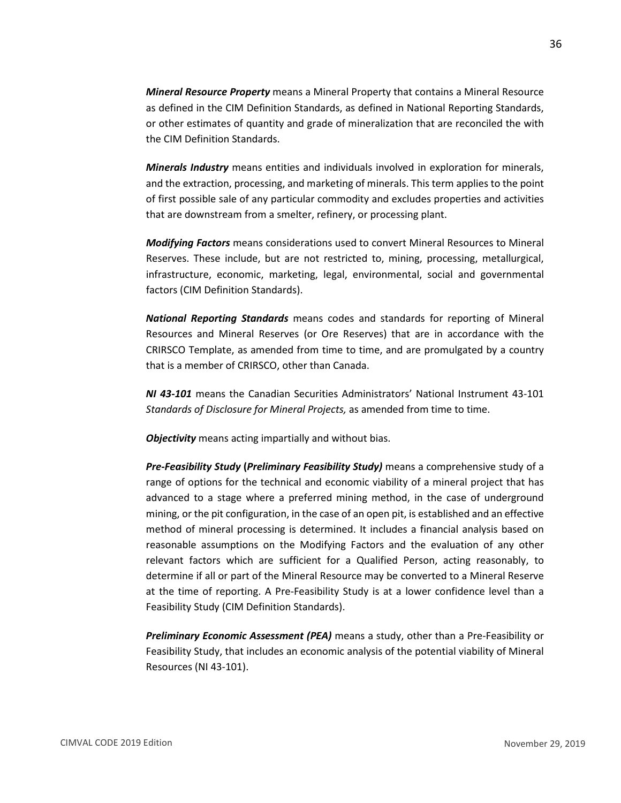*Mineral Resource Property* means a Mineral Property that contains a Mineral Resource as defined in the CIM Definition Standards, as defined in National Reporting Standards, or other estimates of quantity and grade of mineralization that are reconciled the with the CIM Definition Standards.

*Minerals Industry* means entities and individuals involved in exploration for minerals, and the extraction, processing, and marketing of minerals. This term applies to the point of first possible sale of any particular commodity and excludes properties and activities that are downstream from a smelter, refinery, or processing plant.

*Modifying Factors* means considerations used to convert Mineral Resources to Mineral Reserves. These include, but are not restricted to, mining, processing, metallurgical, infrastructure, economic, marketing, legal, environmental, social and governmental factors (CIM Definition Standards).

*National Reporting Standards* means codes and standards for reporting of Mineral Resources and Mineral Reserves (or Ore Reserves) that are in accordance with the CRIRSCO Template, as amended from time to time, and are promulgated by a country that is a member of CRIRSCO, other than Canada.

*NI 43-101* means the Canadian Securities Administrators' National Instrument 43-101 *Standards of Disclosure for Mineral Projects,* as amended from time to time.

*Objectivity* means acting impartially and without bias.

*Pre-Feasibility Study* **(***Preliminary Feasibility Study)* means a comprehensive study of a range of options for the technical and economic viability of a mineral project that has advanced to a stage where a preferred mining method, in the case of underground mining, or the pit configuration, in the case of an open pit, is established and an effective method of mineral processing is determined. It includes a financial analysis based on reasonable assumptions on the Modifying Factors and the evaluation of any other relevant factors which are sufficient for a Qualified Person, acting reasonably, to determine if all or part of the Mineral Resource may be converted to a Mineral Reserve at the time of reporting. A Pre-Feasibility Study is at a lower confidence level than a Feasibility Study (CIM Definition Standards).

*Preliminary Economic Assessment (PEA)* means a study, other than a Pre-Feasibility or Feasibility Study, that includes an economic analysis of the potential viability of Mineral Resources (NI 43-101).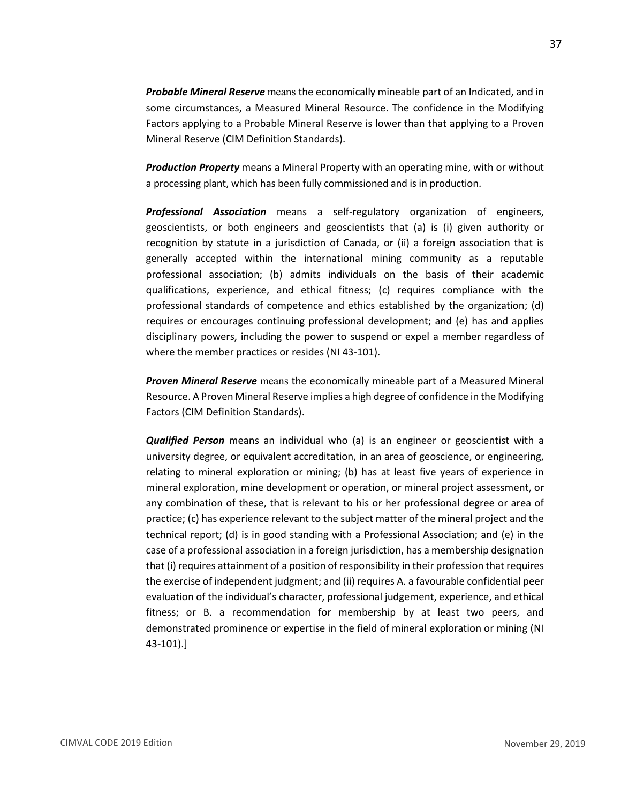*Probable Mineral Reserve* means the economically mineable part of an Indicated, and in some circumstances, a Measured Mineral Resource. The confidence in the Modifying Factors applying to a Probable Mineral Reserve is lower than that applying to a Proven Mineral Reserve (CIM Definition Standards).

*Production Property* means a Mineral Property with an operating mine, with or without a processing plant, which has been fully commissioned and is in production.

*Professional Association* means a self-regulatory organization of engineers, geoscientists, or both engineers and geoscientists that (a) is (i) given authority or recognition by statute in a jurisdiction of Canada, or (ii) a foreign association that is generally accepted within the international mining community as a reputable professional association; (b) admits individuals on the basis of their academic qualifications, experience, and ethical fitness; (c) requires compliance with the professional standards of competence and ethics established by the organization; (d) requires or encourages continuing professional development; and (e) has and applies disciplinary powers, including the power to suspend or expel a member regardless of where the member practices or resides (NI 43-101).

*Proven Mineral Reserve* means the economically mineable part of a Measured Mineral Resource. A Proven Mineral Reserve implies a high degree of confidence in the Modifying Factors (CIM Definition Standards).

*Qualified Person* means an individual who (a) is an engineer or geoscientist with a university degree, or equivalent accreditation, in an area of geoscience, or engineering, relating to mineral exploration or mining; (b) has at least five years of experience in mineral exploration, mine development or operation, or mineral project assessment, or any combination of these, that is relevant to his or her professional degree or area of practice; (c) has experience relevant to the subject matter of the mineral project and the technical report; (d) is in good standing with a Professional Association; and (e) in the case of a professional association in a foreign jurisdiction, has a membership designation that (i) requires attainment of a position of responsibility in their profession that requires the exercise of independent judgment; and (ii) requires A. a favourable confidential peer evaluation of the individual's character, professional judgement, experience, and ethical fitness; or B. a recommendation for membership by at least two peers, and demonstrated prominence or expertise in the field of mineral exploration or mining (NI 43-101).]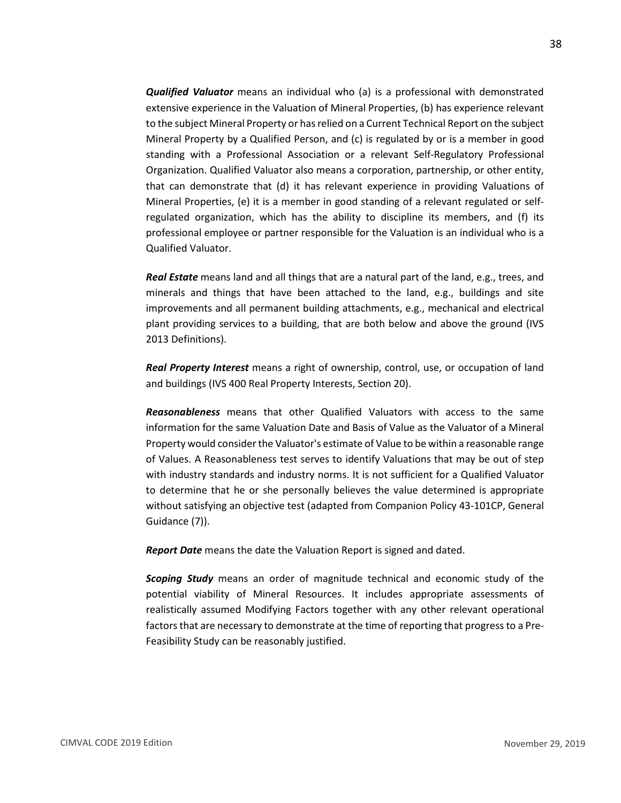*Qualified Valuator* means an individual who (a) is a professional with demonstrated extensive experience in the Valuation of Mineral Properties, (b) has experience relevant to the subject Mineral Property or has relied on a Current Technical Report on the subject Mineral Property by a Qualified Person, and (c) is regulated by or is a member in good standing with a Professional Association or a relevant Self-Regulatory Professional Organization. Qualified Valuator also means a corporation, partnership, or other entity, that can demonstrate that (d) it has relevant experience in providing Valuations of Mineral Properties, (e) it is a member in good standing of a relevant regulated or selfregulated organization, which has the ability to discipline its members, and (f) its professional employee or partner responsible for the Valuation is an individual who is a Qualified Valuator.

*Real Estate* means land and all things that are a natural part of the land, e.g., trees, and minerals and things that have been attached to the land, e.g., buildings and site improvements and all permanent building attachments, e.g., mechanical and electrical plant providing services to a building, that are both below and above the ground (IVS 2013 Definitions).

*Real Property Interest* means a right of ownership, control, use, or occupation of land and buildings (IVS 400 Real Property Interests, Section 20).

*Reasonableness* means that other Qualified Valuators with access to the same information for the same Valuation Date and Basis of Value as the Valuator of a Mineral Property would consider the Valuator's estimate of Value to be within a reasonable range of Values. A Reasonableness test serves to identify Valuations that may be out of step with industry standards and industry norms. It is not sufficient for a Qualified Valuator to determine that he or she personally believes the value determined is appropriate without satisfying an objective test (adapted from Companion Policy 43-101CP, General Guidance (7)).

*Report Date* means the date the Valuation Report is signed and dated.

*Scoping Study* means an order of magnitude technical and economic study of the potential viability of Mineral Resources. It includes appropriate assessments of realistically assumed Modifying Factors together with any other relevant operational factors that are necessary to demonstrate at the time of reporting that progress to a Pre-Feasibility Study can be reasonably justified.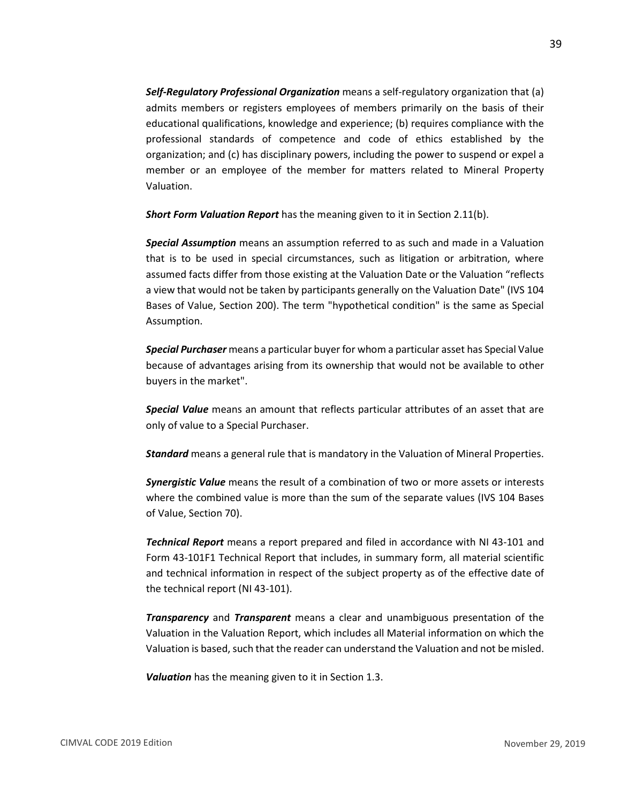*Self-Regulatory Professional Organization* means a self-regulatory organization that (a) admits members or registers employees of members primarily on the basis of their educational qualifications, knowledge and experience; (b) requires compliance with the professional standards of competence and code of ethics established by the organization; and (c) has disciplinary powers, including the power to suspend or expel a member or an employee of the member for matters related to Mineral Property Valuation.

*Short Form Valuation Report* has the meaning given to it in Section 2.11(b).

*Special Assumption* means an assumption referred to as such and made in a Valuation that is to be used in special circumstances, such as litigation or arbitration, where assumed facts differ from those existing at the Valuation Date or the Valuation "reflects a view that would not be taken by participants generally on the Valuation Date" (IVS 104 Bases of Value, Section 200). The term "hypothetical condition" is the same as Special Assumption.

*Special Purchaser* means a particular buyer for whom a particular asset has Special Value because of advantages arising from its ownership that would not be available to other buyers in the market".

*Special Value* means an amount that reflects particular attributes of an asset that are only of value to a Special Purchaser.

*Standard* means a general rule that is mandatory in the Valuation of Mineral Properties.

*Synergistic Value* means the result of a combination of two or more assets or interests where the combined value is more than the sum of the separate values (IVS 104 Bases of Value, Section 70).

*Technical Report* means a report prepared and filed in accordance with NI 43-101 and Form 43-101F1 Technical Report that includes, in summary form, all material scientific and technical information in respect of the subject property as of the effective date of the technical report (NI 43-101).

*Transparency* and *Transparent* means a clear and unambiguous presentation of the Valuation in the Valuation Report, which includes all Material information on which the Valuation is based, such that the reader can understand the Valuation and not be misled.

*Valuation* has the meaning given to it in Section 1.3.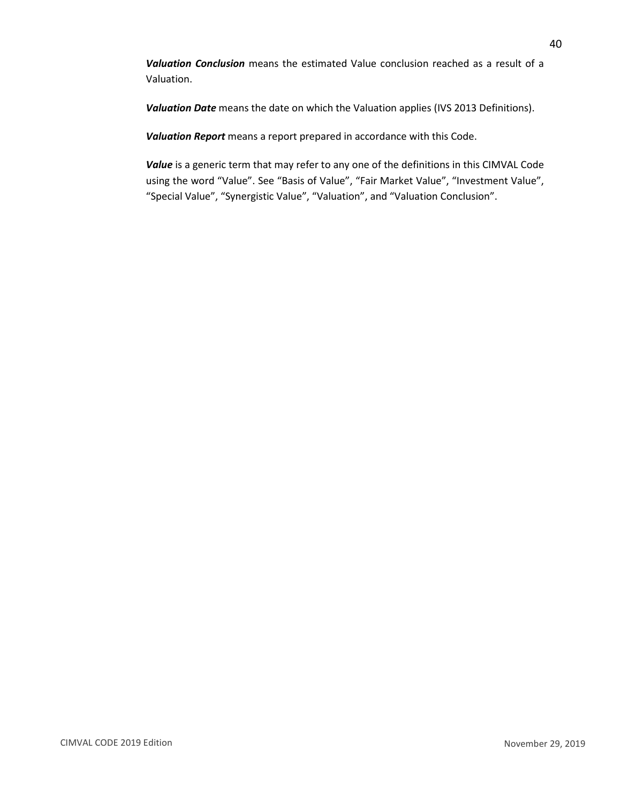*Valuation Conclusion* means the estimated Value conclusion reached as a result of a Valuation.

*Valuation Date* means the date on which the Valuation applies (IVS 2013 Definitions).

*Valuation Report* means a report prepared in accordance with this Code.

*Value* is a generic term that may refer to any one of the definitions in this CIMVAL Code using the word "Value". See "Basis of Value", "Fair Market Value", "Investment Value", "Special Value", "Synergistic Value", "Valuation", and "Valuation Conclusion".